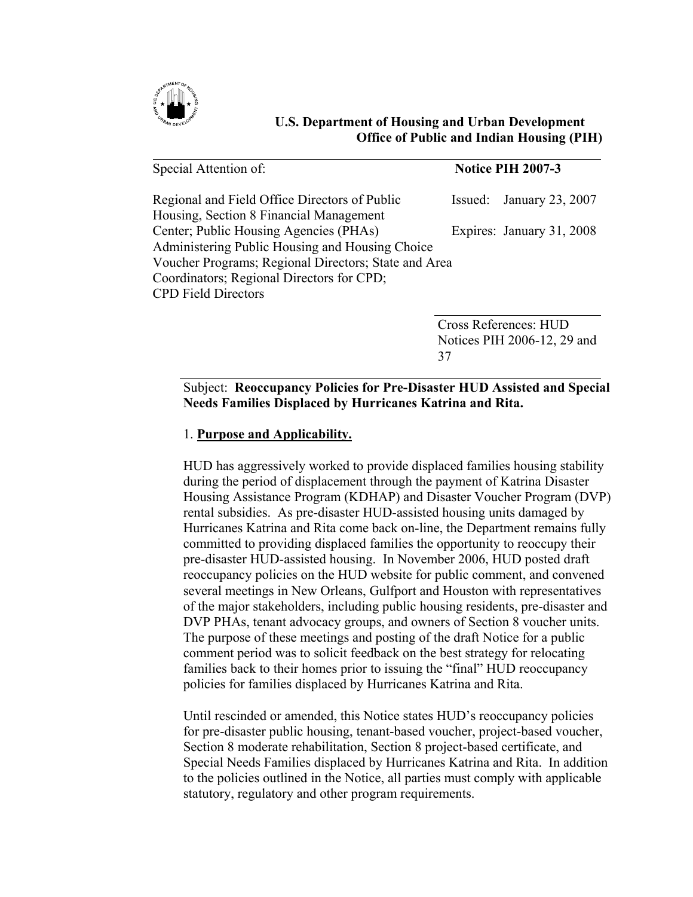

## **U.S. Department of Housing and Urban Development Office of Public and Indian Housing (PIH)**

| Special Attention of:                                                             | <b>Notice PIH 2007-3</b> |                           |  |
|-----------------------------------------------------------------------------------|--------------------------|---------------------------|--|
| Regional and Field Office Directors of Public                                     |                          | Issued: January 23, 2007  |  |
| Housing, Section 8 Financial Management<br>Center; Public Housing Agencies (PHAs) |                          | Expires: January 31, 2008 |  |
| Administering Public Housing and Housing Choice                                   |                          |                           |  |
| Voucher Programs; Regional Directors; State and Area                              |                          |                           |  |
| Coordinators; Regional Directors for CPD;                                         |                          |                           |  |
| <b>CPD Field Directors</b>                                                        |                          |                           |  |

Cross References: HUD Notices PIH 2006-12, 29 and 37

# Subject: **Reoccupancy Policies for Pre-Disaster HUD Assisted and Special Needs Families Displaced by Hurricanes Katrina and Rita.**

# 1. **Purpose and Applicability.**

HUD has aggressively worked to provide displaced families housing stability during the period of displacement through the payment of Katrina Disaster Housing Assistance Program (KDHAP) and Disaster Voucher Program (DVP) rental subsidies. As pre-disaster HUD-assisted housing units damaged by Hurricanes Katrina and Rita come back on-line, the Department remains fully committed to providing displaced families the opportunity to reoccupy their pre-disaster HUD-assisted housing. In November 2006, HUD posted draft reoccupancy policies on the HUD website for public comment, and convened several meetings in New Orleans, Gulfport and Houston with representatives of the major stakeholders, including public housing residents, pre-disaster and DVP PHAs, tenant advocacy groups, and owners of Section 8 voucher units. The purpose of these meetings and posting of the draft Notice for a public comment period was to solicit feedback on the best strategy for relocating families back to their homes prior to issuing the "final" HUD reoccupancy policies for families displaced by Hurricanes Katrina and Rita.

Until rescinded or amended, this Notice states HUD's reoccupancy policies for pre-disaster public housing, tenant-based voucher, project-based voucher, Section 8 moderate rehabilitation, Section 8 project-based certificate, and Special Needs Families displaced by Hurricanes Katrina and Rita. In addition to the policies outlined in the Notice, all parties must comply with applicable statutory, regulatory and other program requirements.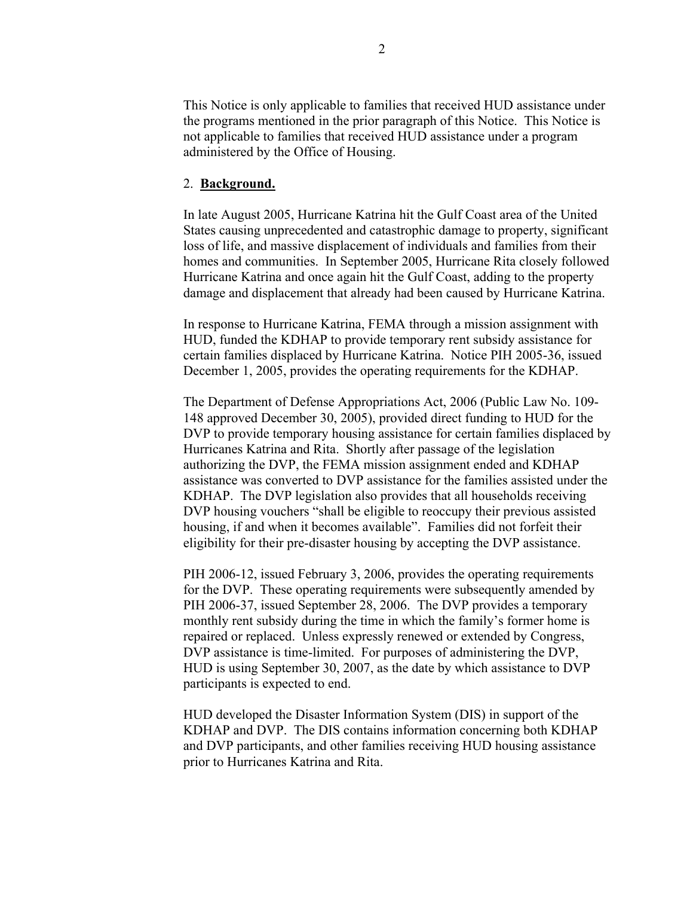This Notice is only applicable to families that received HUD assistance under the programs mentioned in the prior paragraph of this Notice. This Notice is not applicable to families that received HUD assistance under a program administered by the Office of Housing.

### 2. **Background.**

In late August 2005, Hurricane Katrina hit the Gulf Coast area of the United States causing unprecedented and catastrophic damage to property, significant loss of life, and massive displacement of individuals and families from their homes and communities. In September 2005, Hurricane Rita closely followed Hurricane Katrina and once again hit the Gulf Coast, adding to the property damage and displacement that already had been caused by Hurricane Katrina.

In response to Hurricane Katrina, FEMA through a mission assignment with HUD, funded the KDHAP to provide temporary rent subsidy assistance for certain families displaced by Hurricane Katrina. Notice PIH 2005-36, issued December 1, 2005, provides the operating requirements for the KDHAP.

The Department of Defense Appropriations Act, 2006 (Public Law No. 109- 148 approved December 30, 2005), provided direct funding to HUD for the DVP to provide temporary housing assistance for certain families displaced by Hurricanes Katrina and Rita. Shortly after passage of the legislation authorizing the DVP, the FEMA mission assignment ended and KDHAP assistance was converted to DVP assistance for the families assisted under the KDHAP. The DVP legislation also provides that all households receiving DVP housing vouchers "shall be eligible to reoccupy their previous assisted housing, if and when it becomes available". Families did not forfeit their eligibility for their pre-disaster housing by accepting the DVP assistance.

PIH 2006-12, issued February 3, 2006, provides the operating requirements for the DVP. These operating requirements were subsequently amended by PIH 2006-37, issued September 28, 2006. The DVP provides a temporary monthly rent subsidy during the time in which the family's former home is repaired or replaced. Unless expressly renewed or extended by Congress, DVP assistance is time-limited. For purposes of administering the DVP, HUD is using September 30, 2007, as the date by which assistance to DVP participants is expected to end.

HUD developed the Disaster Information System (DIS) in support of the KDHAP and DVP. The DIS contains information concerning both KDHAP and DVP participants, and other families receiving HUD housing assistance prior to Hurricanes Katrina and Rita.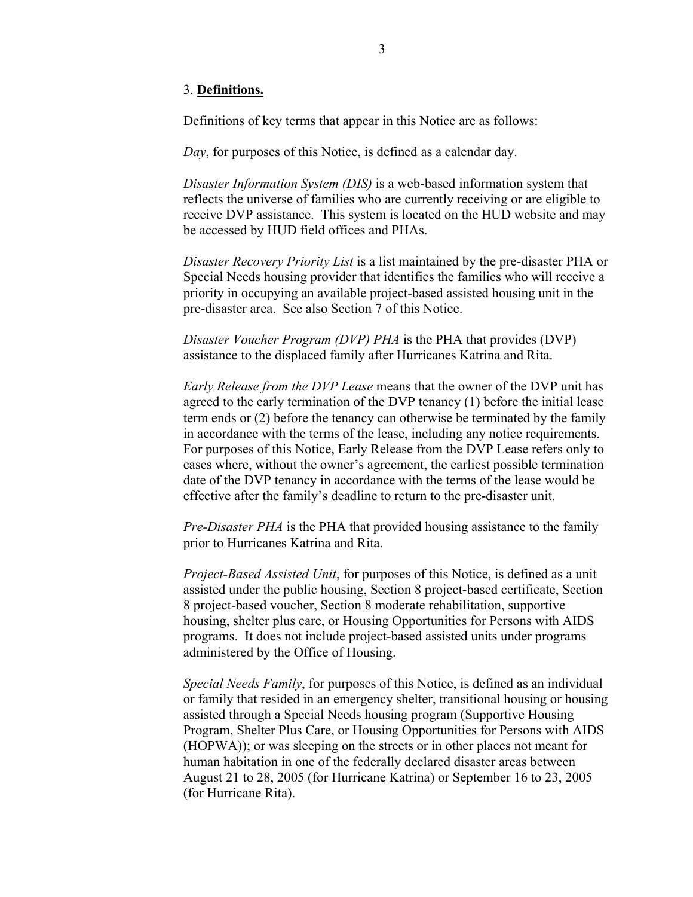### 3. **Definitions.**

Definitions of key terms that appear in this Notice are as follows:

*Day*, for purposes of this Notice, is defined as a calendar day.

*Disaster Information System (DIS)* is a web-based information system that reflects the universe of families who are currently receiving or are eligible to receive DVP assistance. This system is located on the HUD website and may be accessed by HUD field offices and PHAs.

*Disaster Recovery Priority List* is a list maintained by the pre-disaster PHA or Special Needs housing provider that identifies the families who will receive a priority in occupying an available project-based assisted housing unit in the pre-disaster area. See also Section 7 of this Notice.

*Disaster Voucher Program (DVP) PHA* is the PHA that provides (DVP) assistance to the displaced family after Hurricanes Katrina and Rita.

*Early Release from the DVP Lease* means that the owner of the DVP unit has agreed to the early termination of the DVP tenancy (1) before the initial lease term ends or (2) before the tenancy can otherwise be terminated by the family in accordance with the terms of the lease, including any notice requirements. For purposes of this Notice, Early Release from the DVP Lease refers only to cases where, without the owner's agreement, the earliest possible termination date of the DVP tenancy in accordance with the terms of the lease would be effective after the family's deadline to return to the pre-disaster unit.

*Pre-Disaster PHA* is the PHA that provided housing assistance to the family prior to Hurricanes Katrina and Rita.

*Project-Based Assisted Unit*, for purposes of this Notice, is defined as a unit assisted under the public housing, Section 8 project-based certificate, Section 8 project-based voucher, Section 8 moderate rehabilitation, supportive housing, shelter plus care, or Housing Opportunities for Persons with AIDS programs. It does not include project-based assisted units under programs administered by the Office of Housing.

*Special Needs Family*, for purposes of this Notice, is defined as an individual or family that resided in an emergency shelter, transitional housing or housing assisted through a Special Needs housing program (Supportive Housing Program, Shelter Plus Care, or Housing Opportunities for Persons with AIDS (HOPWA)); or was sleeping on the streets or in other places not meant for human habitation in one of the federally declared disaster areas between August 21 to 28, 2005 (for Hurricane Katrina) or September 16 to 23, 2005 (for Hurricane Rita).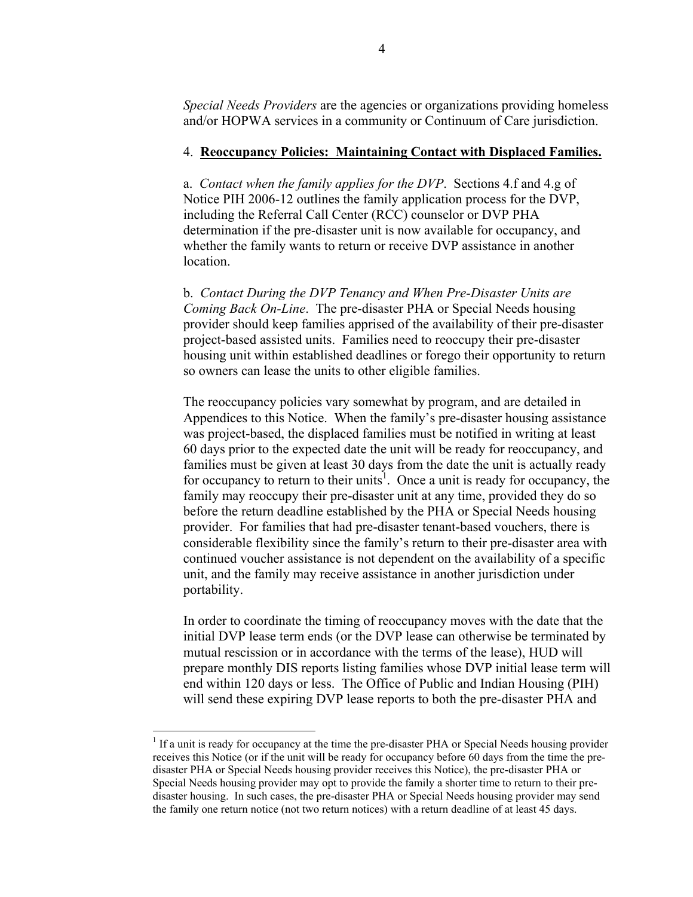*Special Needs Providers* are the agencies or organizations providing homeless and/or HOPWA services in a community or Continuum of Care jurisdiction.

### 4. **Reoccupancy Policies: Maintaining Contact with Displaced Families.**

a. *Contact when the family applies for the DVP*. Sections 4.f and 4.g of Notice PIH 2006-12 outlines the family application process for the DVP, including the Referral Call Center (RCC) counselor or DVP PHA determination if the pre-disaster unit is now available for occupancy, and whether the family wants to return or receive DVP assistance in another location.

b. *Contact During the DVP Tenancy and When Pre-Disaster Units are Coming Back On-Line*. The pre-disaster PHA or Special Needs housing provider should keep families apprised of the availability of their pre-disaster project-based assisted units. Families need to reoccupy their pre-disaster housing unit within established deadlines or forego their opportunity to return so owners can lease the units to other eligible families.

The reoccupancy policies vary somewhat by program, and are detailed in Appendices to this Notice. When the family's pre-disaster housing assistance was project-based, the displaced families must be notified in writing at least 60 days prior to the expected date the unit will be ready for reoccupancy, and families must be given at least 30 days from the date the unit is actually ready for occupancy to return to their units<sup>[1](#page-3-0)</sup>. Once a unit is ready for occupancy, the family may reoccupy their pre-disaster unit at any time, provided they do so before the return deadline established by the PHA or Special Needs housing provider. For families that had pre-disaster tenant-based vouchers, there is considerable flexibility since the family's return to their pre-disaster area with continued voucher assistance is not dependent on the availability of a specific unit, and the family may receive assistance in another jurisdiction under portability.

In order to coordinate the timing of reoccupancy moves with the date that the initial DVP lease term ends (or the DVP lease can otherwise be terminated by mutual rescission or in accordance with the terms of the lease), HUD will prepare monthly DIS reports listing families whose DVP initial lease term will end within 120 days or less. The Office of Public and Indian Housing (PIH) will send these expiring DVP lease reports to both the pre-disaster PHA and

<span id="page-3-0"></span><sup>&</sup>lt;sup>1</sup> If a unit is ready for occupancy at the time the pre-disaster PHA or Special Needs housing provider receives this Notice (or if the unit will be ready for occupancy before 60 days from the time the predisaster PHA or Special Needs housing provider receives this Notice), the pre-disaster PHA or Special Needs housing provider may opt to provide the family a shorter time to return to their predisaster housing. In such cases, the pre-disaster PHA or Special Needs housing provider may send the family one return notice (not two return notices) with a return deadline of at least 45 days.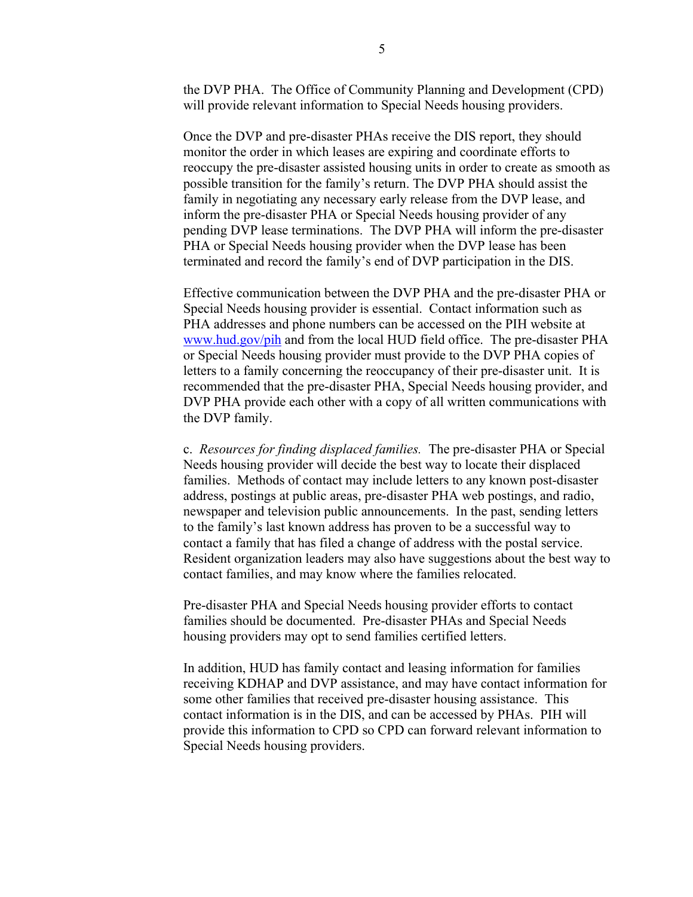the DVP PHA. The Office of Community Planning and Development (CPD) will provide relevant information to Special Needs housing providers.

Once the DVP and pre-disaster PHAs receive the DIS report, they should monitor the order in which leases are expiring and coordinate efforts to reoccupy the pre-disaster assisted housing units in order to create as smooth as possible transition for the family's return. The DVP PHA should assist the family in negotiating any necessary early release from the DVP lease, and inform the pre-disaster PHA or Special Needs housing provider of any pending DVP lease terminations. The DVP PHA will inform the pre-disaster PHA or Special Needs housing provider when the DVP lease has been terminated and record the family's end of DVP participation in the DIS.

Effective communication between the DVP PHA and the pre-disaster PHA or Special Needs housing provider is essential. Contact information such as PHA addresses and phone numbers can be accessed on the PIH website at [www.hud.gov/pih](http://www.hud.gov/pih) and from the local HUD field office. The pre-disaster PHA or Special Needs housing provider must provide to the DVP PHA copies of letters to a family concerning the reoccupancy of their pre-disaster unit. It is recommended that the pre-disaster PHA, Special Needs housing provider, and DVP PHA provide each other with a copy of all written communications with the DVP family.

c. *Resources for finding displaced families.* The pre-disaster PHA or Special Needs housing provider will decide the best way to locate their displaced families. Methods of contact may include letters to any known post-disaster address, postings at public areas, pre-disaster PHA web postings, and radio, newspaper and television public announcements. In the past, sending letters to the family's last known address has proven to be a successful way to contact a family that has filed a change of address with the postal service. Resident organization leaders may also have suggestions about the best way to contact families, and may know where the families relocated.

Pre-disaster PHA and Special Needs housing provider efforts to contact families should be documented. Pre-disaster PHAs and Special Needs housing providers may opt to send families certified letters.

In addition, HUD has family contact and leasing information for families receiving KDHAP and DVP assistance, and may have contact information for some other families that received pre-disaster housing assistance. This contact information is in the DIS, and can be accessed by PHAs. PIH will provide this information to CPD so CPD can forward relevant information to Special Needs housing providers.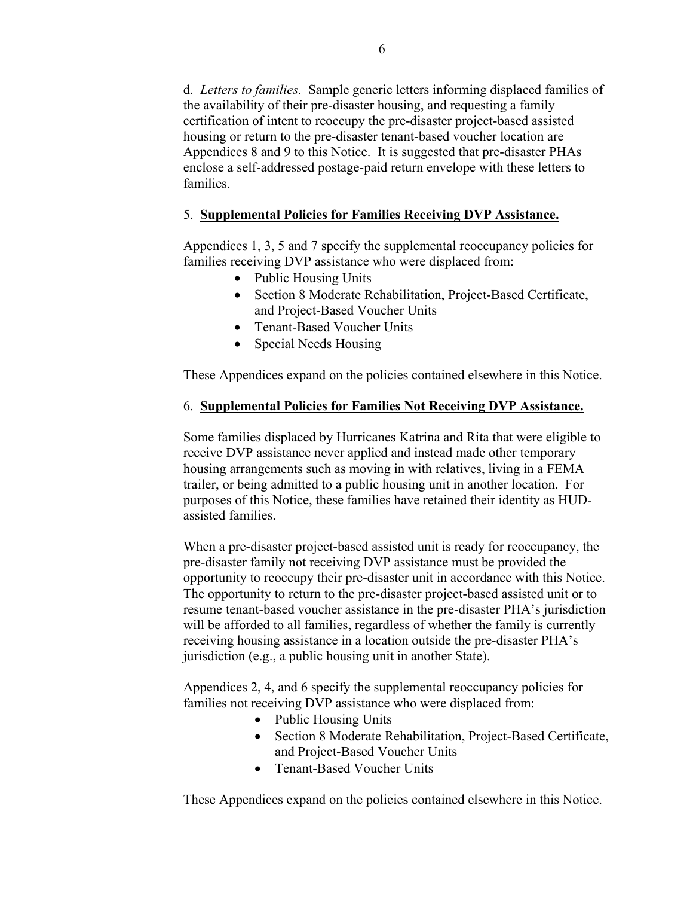d. *Letters to families.* Sample generic letters informing displaced families of the availability of their pre-disaster housing, and requesting a family certification of intent to reoccupy the pre-disaster project-based assisted housing or return to the pre-disaster tenant-based voucher location are Appendices 8 and 9 to this Notice. It is suggested that pre-disaster PHAs enclose a self-addressed postage-paid return envelope with these letters to families.

# 5. **Supplemental Policies for Families Receiving DVP Assistance.**

Appendices 1, 3, 5 and 7 specify the supplemental reoccupancy policies for families receiving DVP assistance who were displaced from:

- Public Housing Units
- Section 8 Moderate Rehabilitation, Project-Based Certificate, and Project-Based Voucher Units
- Tenant-Based Voucher Units
- Special Needs Housing

These Appendices expand on the policies contained elsewhere in this Notice.

# 6. **Supplemental Policies for Families Not Receiving DVP Assistance.**

Some families displaced by Hurricanes Katrina and Rita that were eligible to receive DVP assistance never applied and instead made other temporary housing arrangements such as moving in with relatives, living in a FEMA trailer, or being admitted to a public housing unit in another location. For purposes of this Notice, these families have retained their identity as HUDassisted families.

When a pre-disaster project-based assisted unit is ready for reoccupancy, the pre-disaster family not receiving DVP assistance must be provided the opportunity to reoccupy their pre-disaster unit in accordance with this Notice. The opportunity to return to the pre-disaster project-based assisted unit or to resume tenant-based voucher assistance in the pre-disaster PHA's jurisdiction will be afforded to all families, regardless of whether the family is currently receiving housing assistance in a location outside the pre-disaster PHA's jurisdiction (e.g., a public housing unit in another State).

Appendices 2, 4, and 6 specify the supplemental reoccupancy policies for families not receiving DVP assistance who were displaced from:

- Public Housing Units
- Section 8 Moderate Rehabilitation, Project-Based Certificate, and Project-Based Voucher Units
- Tenant-Based Voucher Units

These Appendices expand on the policies contained elsewhere in this Notice.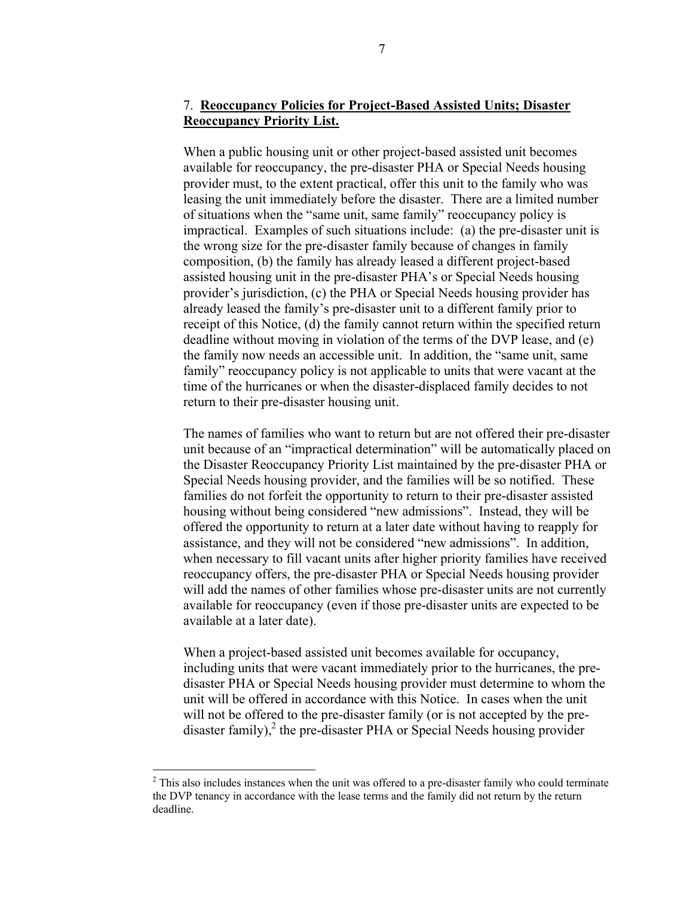# 7. **Reoccupancy Policies for Project-Based Assisted Units; Disaster Reoccupancy Priority List.**

When a public housing unit or other project-based assisted unit becomes available for reoccupancy, the pre-disaster PHA or Special Needs housing provider must, to the extent practical, offer this unit to the family who was leasing the unit immediately before the disaster. There are a limited number of situations when the "same unit, same family" reoccupancy policy is impractical. Examples of such situations include: (a) the pre-disaster unit is the wrong size for the pre-disaster family because of changes in family composition, (b) the family has already leased a different project-based assisted housing unit in the pre-disaster PHA's or Special Needs housing provider's jurisdiction, (c) the PHA or Special Needs housing provider has already leased the family's pre-disaster unit to a different family prior to receipt of this Notice, (d) the family cannot return within the specified return deadline without moving in violation of the terms of the DVP lease, and (e) the family now needs an accessible unit. In addition, the "same unit, same family" reoccupancy policy is not applicable to units that were vacant at the time of the hurricanes or when the disaster-displaced family decides to not return to their pre-disaster housing unit.

The names of families who want to return but are not offered their pre-disaster unit because of an "impractical determination" will be automatically placed on the Disaster Reoccupancy Priority List maintained by the pre-disaster PHA or Special Needs housing provider, and the families will be so notified. These families do not forfeit the opportunity to return to their pre-disaster assisted housing without being considered "new admissions". Instead, they will be offered the opportunity to return at a later date without having to reapply for assistance, and they will not be considered "new admissions". In addition, when necessary to fill vacant units after higher priority families have received reoccupancy offers, the pre-disaster PHA or Special Needs housing provider will add the names of other families whose pre-disaster units are not currently available for reoccupancy (even if those pre-disaster units are expected to be available at a later date).

When a project-based assisted unit becomes available for occupancy, including units that were vacant immediately prior to the hurricanes, the predisaster PHA or Special Needs housing provider must determine to whom the unit will be offered in accordance with this Notice. In cases when the unit will not be offered to the pre-disaster family (or is not accepted by the predisaster family), $^2$  the pre-disaster PHA or Special Needs housing provider

1

<span id="page-6-0"></span> $2^2$  This also includes instances when the unit was offered to a pre-disaster family who could terminate the DVP tenancy in accordance with the lease terms and the family did not return by the return deadline.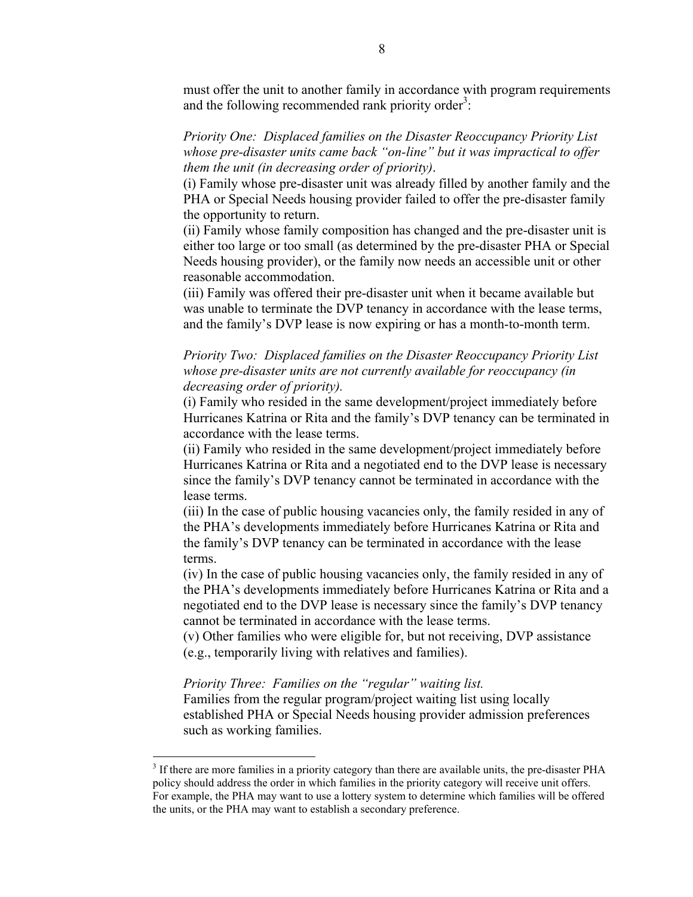must offer the unit to another family in accordance with program requirements and the following recommended rank priority order<sup>[3](#page-7-0)</sup>:

*Priority One: Displaced families on the Disaster Reoccupancy Priority List whose pre-disaster units came back "on-line" but it was impractical to offer them the unit (in decreasing order of priority)*.

(i) Family whose pre-disaster unit was already filled by another family and the PHA or Special Needs housing provider failed to offer the pre-disaster family the opportunity to return.

(ii) Family whose family composition has changed and the pre-disaster unit is either too large or too small (as determined by the pre-disaster PHA or Special Needs housing provider), or the family now needs an accessible unit or other reasonable accommodation.

(iii) Family was offered their pre-disaster unit when it became available but was unable to terminate the DVP tenancy in accordance with the lease terms, and the family's DVP lease is now expiring or has a month-to-month term.

*Priority Two: Displaced families on the Disaster Reoccupancy Priority List whose pre-disaster units are not currently available for reoccupancy (in decreasing order of priority).* 

(i) Family who resided in the same development/project immediately before Hurricanes Katrina or Rita and the family's DVP tenancy can be terminated in accordance with the lease terms.

(ii) Family who resided in the same development/project immediately before Hurricanes Katrina or Rita and a negotiated end to the DVP lease is necessary since the family's DVP tenancy cannot be terminated in accordance with the lease terms.

(iii) In the case of public housing vacancies only, the family resided in any of the PHA's developments immediately before Hurricanes Katrina or Rita and the family's DVP tenancy can be terminated in accordance with the lease terms.

(iv) In the case of public housing vacancies only, the family resided in any of the PHA's developments immediately before Hurricanes Katrina or Rita and a negotiated end to the DVP lease is necessary since the family's DVP tenancy cannot be terminated in accordance with the lease terms.

(v) Other families who were eligible for, but not receiving, DVP assistance (e.g., temporarily living with relatives and families).

*Priority Three: Families on the "regular" waiting list.* 

 $\overline{a}$ 

Families from the regular program/project waiting list using locally established PHA or Special Needs housing provider admission preferences such as working families.

<span id="page-7-0"></span><sup>&</sup>lt;sup>3</sup> If there are more families in a priority category than there are available units, the pre-disaster PHA policy should address the order in which families in the priority category will receive unit offers. For example, the PHA may want to use a lottery system to determine which families will be offered the units, or the PHA may want to establish a secondary preference.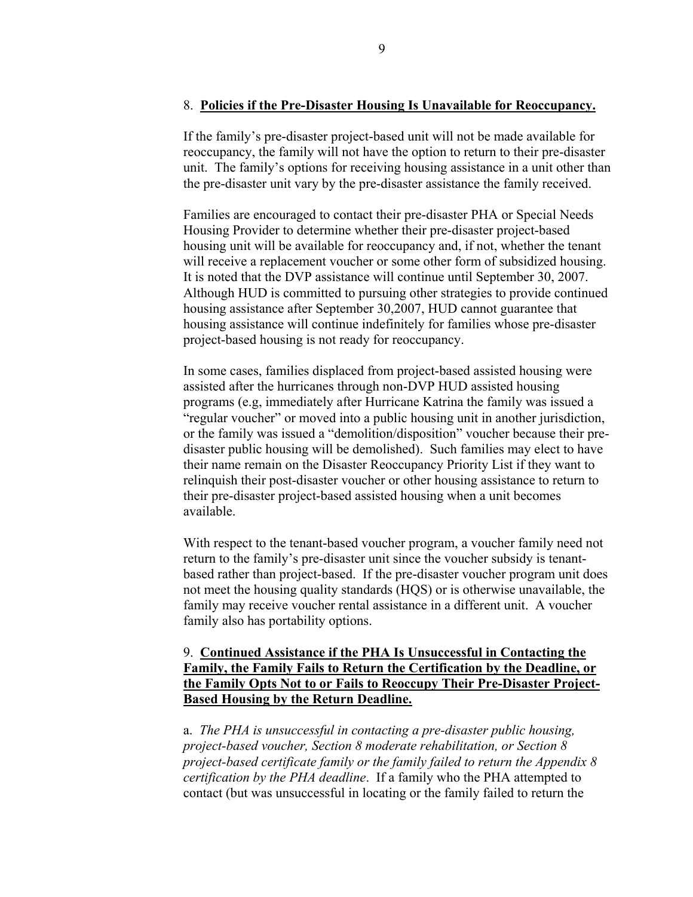### 8. **Policies if the Pre-Disaster Housing Is Unavailable for Reoccupancy.**

If the family's pre-disaster project-based unit will not be made available for reoccupancy, the family will not have the option to return to their pre-disaster unit. The family's options for receiving housing assistance in a unit other than the pre-disaster unit vary by the pre-disaster assistance the family received.

Families are encouraged to contact their pre-disaster PHA or Special Needs Housing Provider to determine whether their pre-disaster project-based housing unit will be available for reoccupancy and, if not, whether the tenant will receive a replacement voucher or some other form of subsidized housing. It is noted that the DVP assistance will continue until September 30, 2007. Although HUD is committed to pursuing other strategies to provide continued housing assistance after September 30,2007, HUD cannot guarantee that housing assistance will continue indefinitely for families whose pre-disaster project-based housing is not ready for reoccupancy.

In some cases, families displaced from project-based assisted housing were assisted after the hurricanes through non-DVP HUD assisted housing programs (e.g, immediately after Hurricane Katrina the family was issued a "regular voucher" or moved into a public housing unit in another jurisdiction, or the family was issued a "demolition/disposition" voucher because their predisaster public housing will be demolished). Such families may elect to have their name remain on the Disaster Reoccupancy Priority List if they want to relinquish their post-disaster voucher or other housing assistance to return to their pre-disaster project-based assisted housing when a unit becomes available.

With respect to the tenant-based voucher program, a voucher family need not return to the family's pre-disaster unit since the voucher subsidy is tenantbased rather than project-based. If the pre-disaster voucher program unit does not meet the housing quality standards (HQS) or is otherwise unavailable, the family may receive voucher rental assistance in a different unit. A voucher family also has portability options.

## 9. **Continued Assistance if the PHA Is Unsuccessful in Contacting the Family, the Family Fails to Return the Certification by the Deadline, or the Family Opts Not to or Fails to Reoccupy Their Pre-Disaster Project-Based Housing by the Return Deadline.**

a. *The PHA is unsuccessful in contacting a pre-disaster public housing, project-based voucher, Section 8 moderate rehabilitation, or Section 8 project-based certificate family or the family failed to return the Appendix 8 certification by the PHA deadline*. If a family who the PHA attempted to contact (but was unsuccessful in locating or the family failed to return the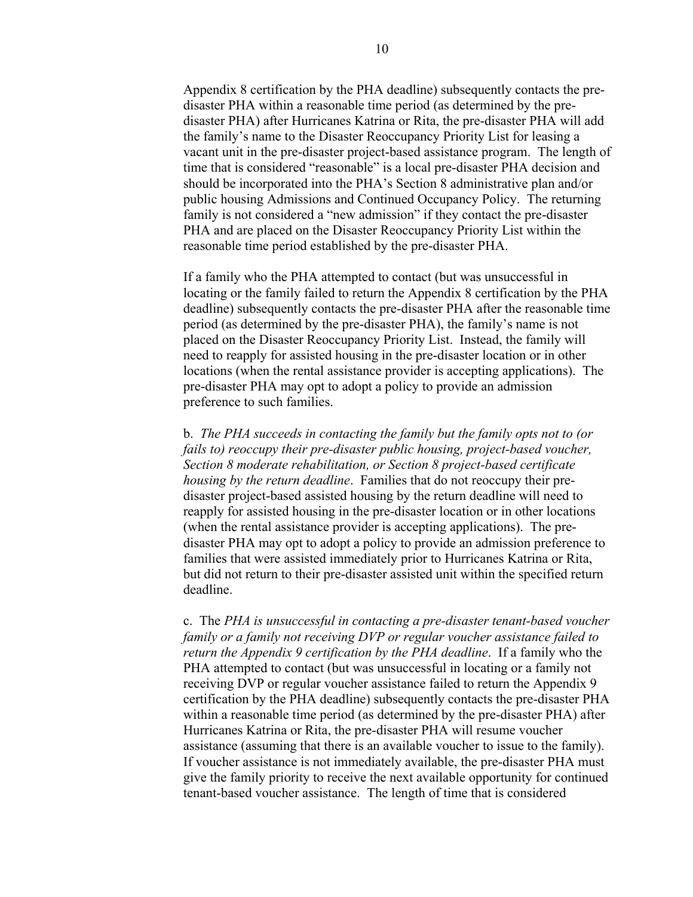Appendix 8 certification by the PHA deadline) subsequently contacts the predisaster PHA within a reasonable time period (as determined by the predisaster PHA) after Hurricanes Katrina or Rita, the pre-disaster PHA will add the family's name to the Disaster Reoccupancy Priority List for leasing a vacant unit in the pre-disaster project-based assistance program. The length of time that is considered "reasonable" is a local pre-disaster PHA decision and should be incorporated into the PHA's Section 8 administrative plan and/or public housing Admissions and Continued Occupancy Policy. The returning family is not considered a "new admission" if they contact the pre-disaster PHA and are placed on the Disaster Reoccupancy Priority List within the reasonable time period established by the pre-disaster PHA.

If a family who the PHA attempted to contact (but was unsuccessful in locating or the family failed to return the Appendix 8 certification by the PHA deadline) subsequently contacts the pre-disaster PHA after the reasonable time period (as determined by the pre-disaster PHA), the family's name is not placed on the Disaster Reoccupancy Priority List. Instead, the family will need to reapply for assisted housing in the pre-disaster location or in other locations (when the rental assistance provider is accepting applications). The pre-disaster PHA may opt to adopt a policy to provide an admission preference to such families.

b. *The PHA succeeds in contacting the family but the family opts not to (or fails to) reoccupy their pre-disaster public housing, project-based voucher, Section 8 moderate rehabilitation, or Section 8 project-based certificate housing by the return deadline*. Families that do not reoccupy their predisaster project-based assisted housing by the return deadline will need to reapply for assisted housing in the pre-disaster location or in other locations (when the rental assistance provider is accepting applications). The predisaster PHA may opt to adopt a policy to provide an admission preference to families that were assisted immediately prior to Hurricanes Katrina or Rita, but did not return to their pre-disaster assisted unit within the specified return deadline.

c. The *PHA is unsuccessful in contacting a pre-disaster tenant-based voucher family or a family not receiving DVP or regular voucher assistance failed to return the Appendix 9 certification by the PHA deadline*. If a family who the PHA attempted to contact (but was unsuccessful in locating or a family not receiving DVP or regular voucher assistance failed to return the Appendix 9 certification by the PHA deadline) subsequently contacts the pre-disaster PHA within a reasonable time period (as determined by the pre-disaster PHA) after Hurricanes Katrina or Rita, the pre-disaster PHA will resume voucher assistance (assuming that there is an available voucher to issue to the family). If voucher assistance is not immediately available, the pre-disaster PHA must give the family priority to receive the next available opportunity for continued tenant-based voucher assistance. The length of time that is considered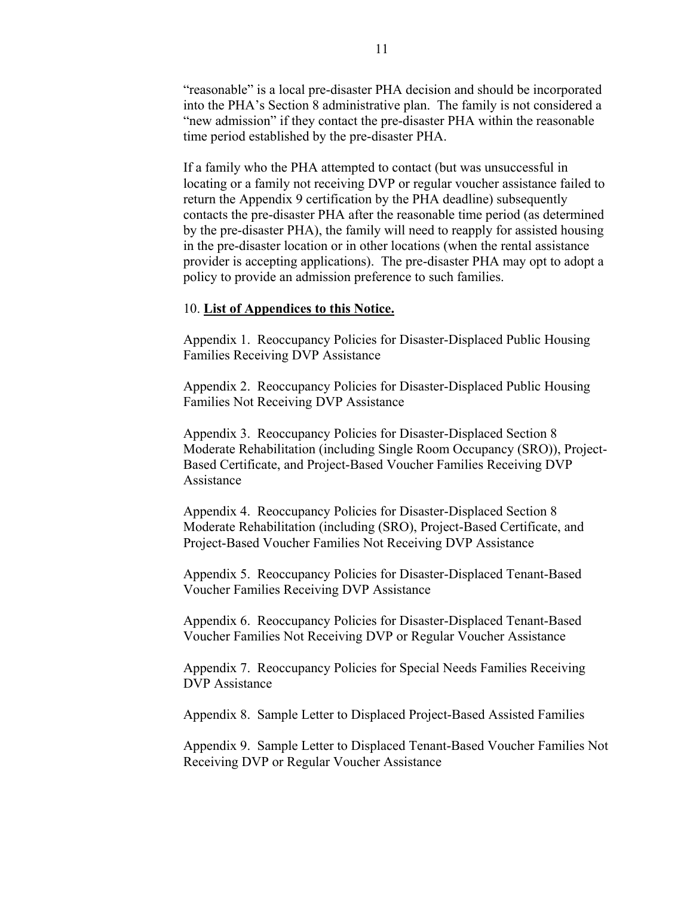"reasonable" is a local pre-disaster PHA decision and should be incorporated into the PHA's Section 8 administrative plan. The family is not considered a "new admission" if they contact the pre-disaster PHA within the reasonable time period established by the pre-disaster PHA.

If a family who the PHA attempted to contact (but was unsuccessful in locating or a family not receiving DVP or regular voucher assistance failed to return the Appendix 9 certification by the PHA deadline) subsequently contacts the pre-disaster PHA after the reasonable time period (as determined by the pre-disaster PHA), the family will need to reapply for assisted housing in the pre-disaster location or in other locations (when the rental assistance provider is accepting applications). The pre-disaster PHA may opt to adopt a policy to provide an admission preference to such families.

### 10. **List of Appendices to this Notice.**

Appendix 1. Reoccupancy Policies for Disaster-Displaced Public Housing Families Receiving DVP Assistance

Appendix 2. Reoccupancy Policies for Disaster-Displaced Public Housing Families Not Receiving DVP Assistance

Appendix 3. Reoccupancy Policies for Disaster-Displaced Section 8 Moderate Rehabilitation (including Single Room Occupancy (SRO)), Project-Based Certificate, and Project-Based Voucher Families Receiving DVP Assistance

Appendix 4. Reoccupancy Policies for Disaster-Displaced Section 8 Moderate Rehabilitation (including (SRO), Project-Based Certificate, and Project-Based Voucher Families Not Receiving DVP Assistance

Appendix 5. Reoccupancy Policies for Disaster-Displaced Tenant-Based Voucher Families Receiving DVP Assistance

Appendix 6. Reoccupancy Policies for Disaster-Displaced Tenant-Based Voucher Families Not Receiving DVP or Regular Voucher Assistance

Appendix 7. Reoccupancy Policies for Special Needs Families Receiving DVP Assistance

Appendix 8. Sample Letter to Displaced Project-Based Assisted Families

Appendix 9. Sample Letter to Displaced Tenant-Based Voucher Families Not Receiving DVP or Regular Voucher Assistance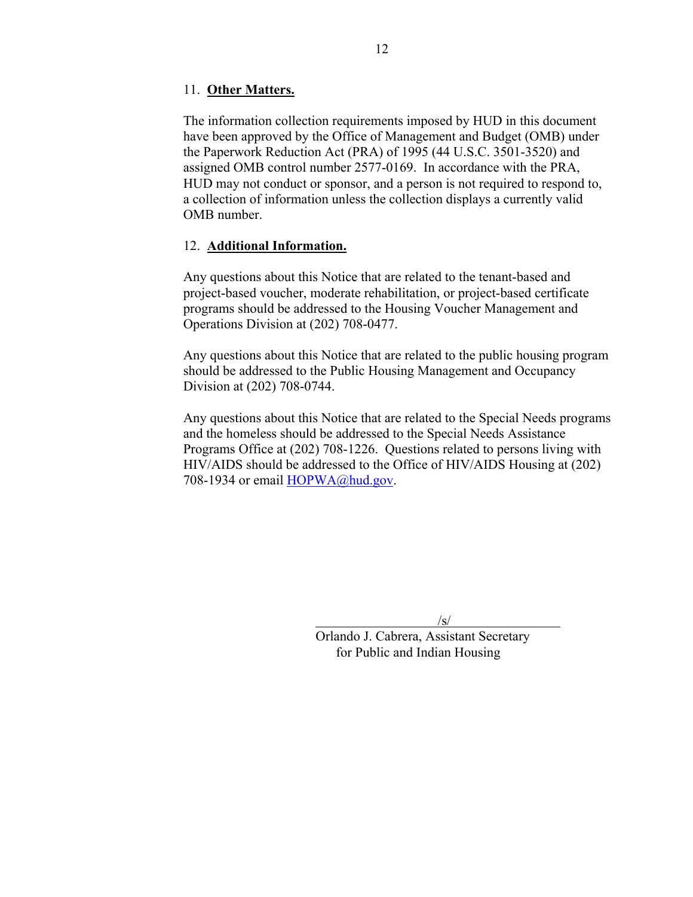## 11. **Other Matters.**

The information collection requirements imposed by HUD in this document have been approved by the Office of Management and Budget (OMB) under the Paperwork Reduction Act (PRA) of 1995 (44 U.S.C. 3501-3520) and assigned OMB control number 2577-0169. In accordance with the PRA, HUD may not conduct or sponsor, and a person is not required to respond to, a collection of information unless the collection displays a currently valid OMB number.

## 12. **Additional Information.**

Any questions about this Notice that are related to the tenant-based and project-based voucher, moderate rehabilitation, or project-based certificate programs should be addressed to the Housing Voucher Management and Operations Division at (202) 708-0477.

Any questions about this Notice that are related to the public housing program should be addressed to the Public Housing Management and Occupancy Division at (202) 708-0744.

Any questions about this Notice that are related to the Special Needs programs and the homeless should be addressed to the Special Needs Assistance Programs Office at (202) 708-1226. Questions related to persons living with HIV/AIDS should be addressed to the Office of HIV/AIDS Housing at (202) 708-1934 or email [HOPWA@hud.gov.](mailto:HOPWA@hud.gov)

 $\sqrt{s/2}$ 

Orlando J. Cabrera, Assistant Secretary for Public and Indian Housing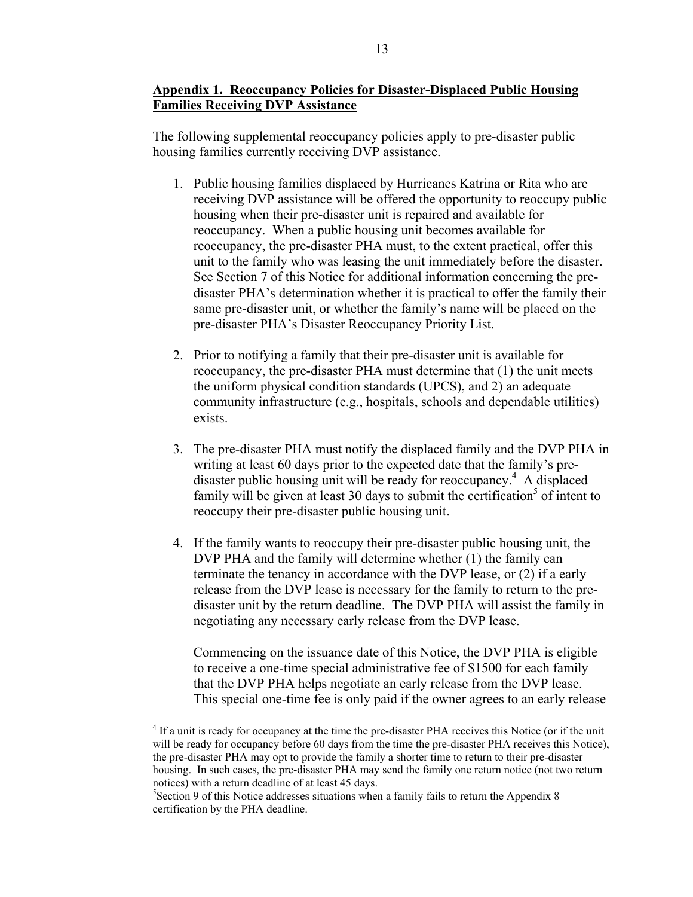## **Appendix 1. Reoccupancy Policies for Disaster-Displaced Public Housing Families Receiving DVP Assistance**

The following supplemental reoccupancy policies apply to pre-disaster public housing families currently receiving DVP assistance.

- 1. Public housing families displaced by Hurricanes Katrina or Rita who are receiving DVP assistance will be offered the opportunity to reoccupy public housing when their pre-disaster unit is repaired and available for reoccupancy. When a public housing unit becomes available for reoccupancy, the pre-disaster PHA must, to the extent practical, offer this unit to the family who was leasing the unit immediately before the disaster. See Section 7 of this Notice for additional information concerning the predisaster PHA's determination whether it is practical to offer the family their same pre-disaster unit, or whether the family's name will be placed on the pre-disaster PHA's Disaster Reoccupancy Priority List.
- 2. Prior to notifying a family that their pre-disaster unit is available for reoccupancy, the pre-disaster PHA must determine that (1) the unit meets the uniform physical condition standards (UPCS), and 2) an adequate community infrastructure (e.g., hospitals, schools and dependable utilities) exists.
- 3. The pre-disaster PHA must notify the displaced family and the DVP PHA in writing at least 60 days prior to the expected date that the family's pre-disaster public housing unit will be ready for reoccupancy.<sup>[4](#page-12-0)</sup> A displaced family will be given at least 30 days to submit the certification<sup>[5](#page-12-1)</sup> of intent to reoccupy their pre-disaster public housing unit.
- 4. If the family wants to reoccupy their pre-disaster public housing unit, the DVP PHA and the family will determine whether (1) the family can terminate the tenancy in accordance with the DVP lease, or (2) if a early release from the DVP lease is necessary for the family to return to the predisaster unit by the return deadline. The DVP PHA will assist the family in negotiating any necessary early release from the DVP lease.

Commencing on the issuance date of this Notice, the DVP PHA is eligible to receive a one-time special administrative fee of \$1500 for each family that the DVP PHA helps negotiate an early release from the DVP lease. This special one-time fee is only paid if the owner agrees to an early release

<span id="page-12-0"></span><sup>&</sup>lt;sup>4</sup> If a unit is ready for occupancy at the time the pre-disaster PHA receives this Notice (or if the unit will be ready for occupancy before 60 days from the time the pre-disaster PHA receives this Notice), the pre-disaster PHA may opt to provide the family a shorter time to return to their pre-disaster housing. In such cases, the pre-disaster PHA may send the family one return notice (not two return notices) with a return deadline of at least 45 days.

<span id="page-12-1"></span><sup>&</sup>lt;sup>5</sup>Section 9 of this Notice addresses situations when a family fails to return the Appendix 8 certification by the PHA deadline.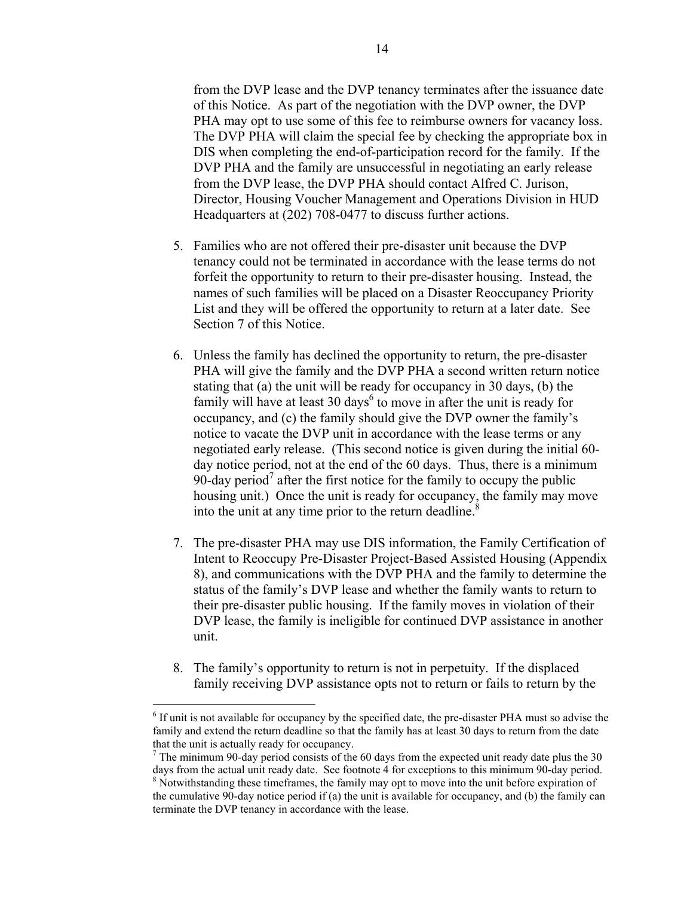from the DVP lease and the DVP tenancy terminates after the issuance date of this Notice. As part of the negotiation with the DVP owner, the DVP PHA may opt to use some of this fee to reimburse owners for vacancy loss. The DVP PHA will claim the special fee by checking the appropriate box in DIS when completing the end-of-participation record for the family. If the DVP PHA and the family are unsuccessful in negotiating an early release from the DVP lease, the DVP PHA should contact Alfred C. Jurison, Director, Housing Voucher Management and Operations Division in HUD Headquarters at (202) 708-0477 to discuss further actions.

- 5. Families who are not offered their pre-disaster unit because the DVP tenancy could not be terminated in accordance with the lease terms do not forfeit the opportunity to return to their pre-disaster housing. Instead, the names of such families will be placed on a Disaster Reoccupancy Priority List and they will be offered the opportunity to return at a later date. See Section 7 of this Notice.
- 6. Unless the family has declined the opportunity to return, the pre-disaster PHA will give the family and the DVP PHA a second written return notice stating that (a) the unit will be ready for occupancy in 30 days, (b) the family will have at least  $30 \text{ days}^6$  $30 \text{ days}^6$  to move in after the unit is ready for occupancy, and (c) the family should give the DVP owner the family's notice to vacate the DVP unit in accordance with the lease terms or any negotiated early release. (This second notice is given during the initial 60 day notice period, not at the end of the 60 days. Thus, there is a minimum 90-day period<sup>[7](#page-13-1)</sup> after the first notice for the family to occupy the public housing unit.) Once the unit is ready for occupancy, the family may move into the unit at any time prior to the return deadline. $8<sup>8</sup>$
- 7. The pre-disaster PHA may use DIS information, the Family Certification of Intent to Reoccupy Pre-Disaster Project-Based Assisted Housing (Appendix 8), and communications with the DVP PHA and the family to determine the status of the family's DVP lease and whether the family wants to return to their pre-disaster public housing. If the family moves in violation of their DVP lease, the family is ineligible for continued DVP assistance in another unit.
- 8. The family's opportunity to return is not in perpetuity. If the displaced family receiving DVP assistance opts not to return or fails to return by the

<span id="page-13-0"></span><sup>&</sup>lt;sup>6</sup> If unit is not available for occupancy by the specified date, the pre-disaster PHA must so advise the family and extend the return deadline so that the family has at least 30 days to return from the date that the unit is actually ready for occupancy. 7

<span id="page-13-1"></span> $\frac{7}{1}$  The minimum 90-day period consists of the 60 days from the expected unit ready date plus the 30 days from the actual unit ready date. See footnote 4 for exceptions to this minimum 90-day period.

<span id="page-13-2"></span><sup>&</sup>lt;sup>8</sup> Notwithstanding these timeframes, the family may opt to move into the unit before expiration of the cumulative 90-day notice period if (a) the unit is available for occupancy, and (b) the family can terminate the DVP tenancy in accordance with the lease.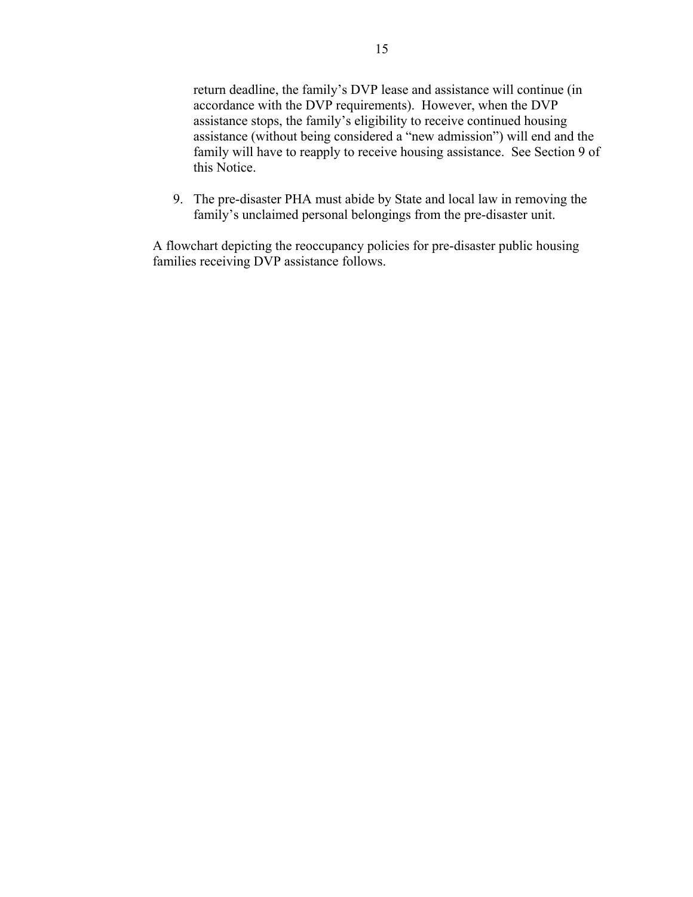return deadline, the family's DVP lease and assistance will continue (in accordance with the DVP requirements). However, when the DVP assistance stops, the family's eligibility to receive continued housing assistance (without being considered a "new admission") will end and the family will have to reapply to receive housing assistance. See Section 9 of this Notice.

9. The pre-disaster PHA must abide by State and local law in removing the family's unclaimed personal belongings from the pre-disaster unit.

A flowchart depicting the reoccupancy policies for pre-disaster public housing families receiving DVP assistance follows.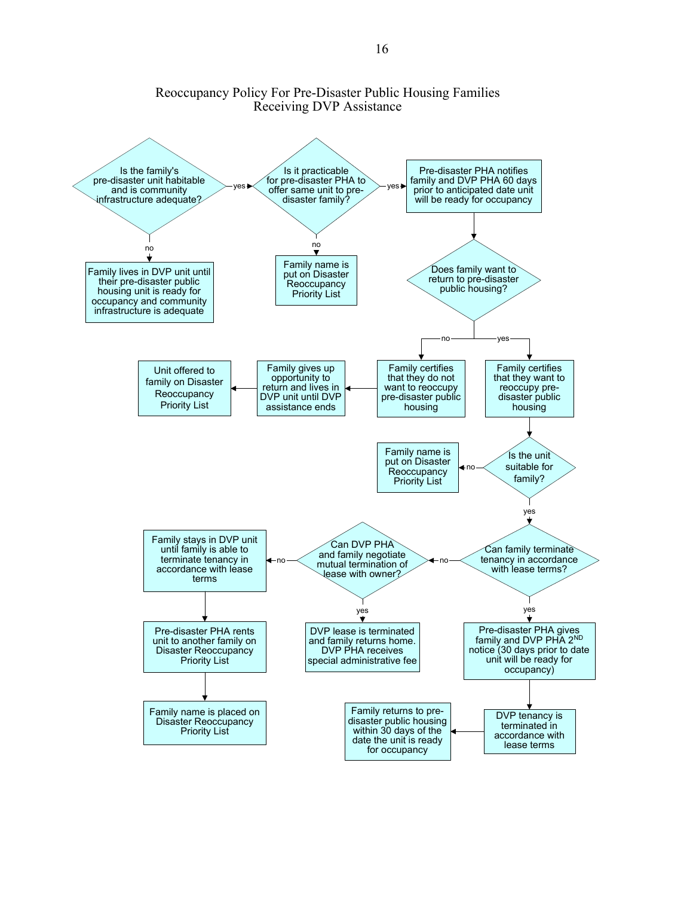#### Reoccupancy Policy For Pre-Disaster Public Housing Families Receiving DVP Assistance

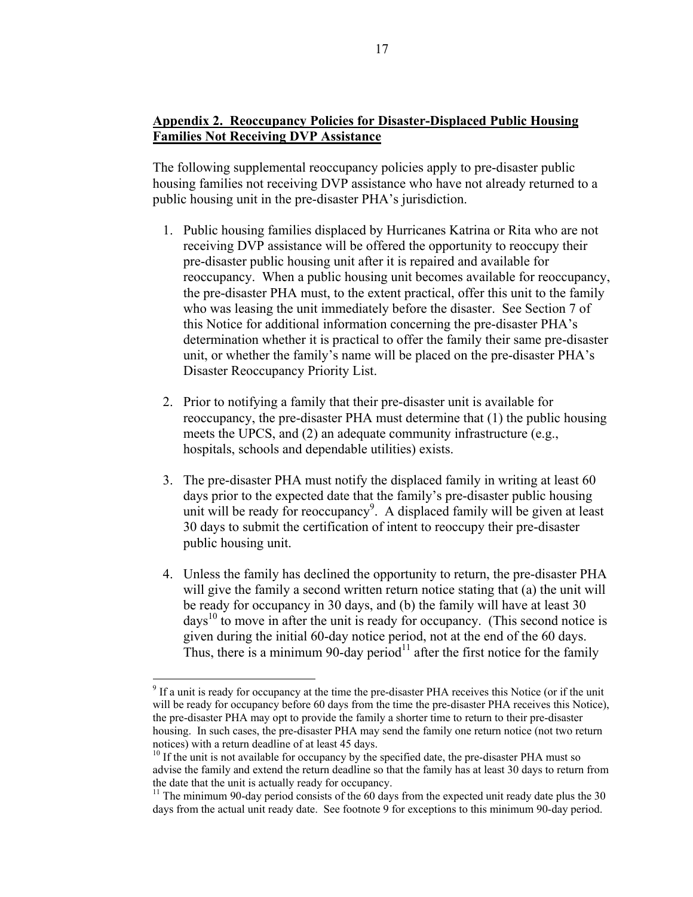# **Appendix 2. Reoccupancy Policies for Disaster-Displaced Public Housing Families Not Receiving DVP Assistance**

The following supplemental reoccupancy policies apply to pre-disaster public housing families not receiving DVP assistance who have not already returned to a public housing unit in the pre-disaster PHA's jurisdiction.

- 1. Public housing families displaced by Hurricanes Katrina or Rita who are not receiving DVP assistance will be offered the opportunity to reoccupy their pre-disaster public housing unit after it is repaired and available for reoccupancy. When a public housing unit becomes available for reoccupancy, the pre-disaster PHA must, to the extent practical, offer this unit to the family who was leasing the unit immediately before the disaster. See Section 7 of this Notice for additional information concerning the pre-disaster PHA's determination whether it is practical to offer the family their same pre-disaster unit, or whether the family's name will be placed on the pre-disaster PHA's Disaster Reoccupancy Priority List.
- 2. Prior to notifying a family that their pre-disaster unit is available for reoccupancy, the pre-disaster PHA must determine that (1) the public housing meets the UPCS, and (2) an adequate community infrastructure (e.g., hospitals, schools and dependable utilities) exists.
- 3. The pre-disaster PHA must notify the displaced family in writing at least 60 days prior to the expected date that the family's pre-disaster public housing unit will be ready for reoccupancy<sup>[9](#page-16-0)</sup>. A displaced family will be given at least 30 days to submit the certification of intent to reoccupy their pre-disaster public housing unit.
- 4. Unless the family has declined the opportunity to return, the pre-disaster PHA will give the family a second written return notice stating that (a) the unit will be ready for occupancy in 30 days, and (b) the family will have at least 30 days<sup>10</sup> to move in after the unit is ready for occupancy. (This second notice is given during the initial 60-day notice period, not at the end of the 60 days. Thus, there is a minimum 90-day period $11$  after the first notice for the family

<span id="page-16-0"></span> $9$  If a unit is ready for occupancy at the time the pre-disaster PHA receives this Notice (or if the unit will be ready for occupancy before 60 days from the time the pre-disaster PHA receives this Notice), the pre-disaster PHA may opt to provide the family a shorter time to return to their pre-disaster housing. In such cases, the pre-disaster PHA may send the family one return notice (not two return notices) with a return deadline of at least 45 days.<br><sup>10</sup> If the unit is not available for occupancy by the specified date, the pre-disaster PHA must so

<span id="page-16-1"></span>advise the family and extend the return deadline so that the family has at least 30 days to return from the date that the unit is actually ready for occupancy.<br><sup>11</sup> The minimum 90-day period consists of the 60 days from the expected unit ready date plus the 30

<span id="page-16-2"></span>days from the actual unit ready date. See footnote 9 for exceptions to this minimum 90-day period.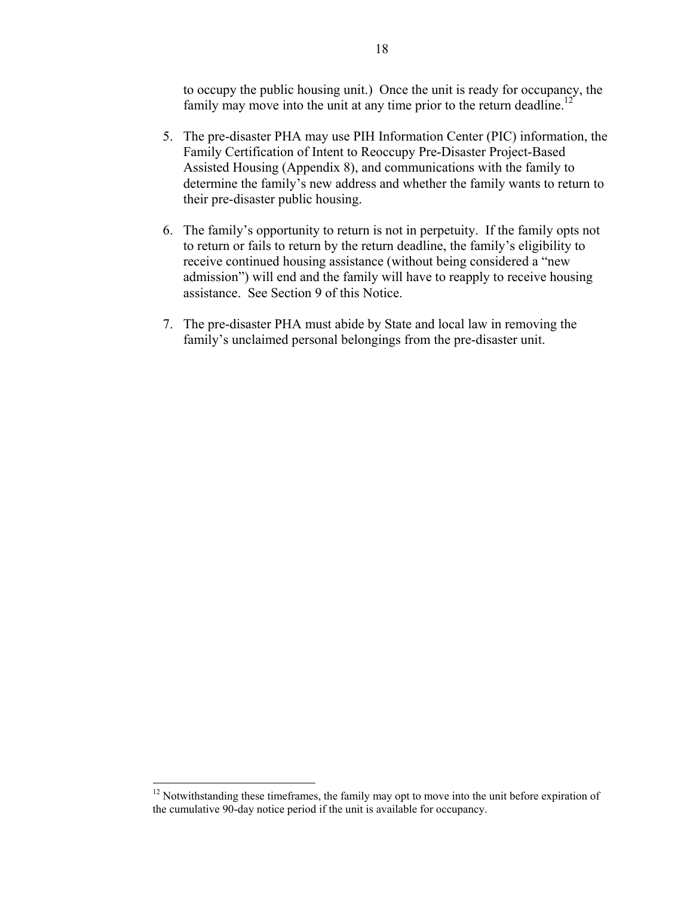to occupy the public housing unit.) Once the unit is ready for occupancy, the family may move into the unit at any time prior to the return deadline.<sup>[12](#page-17-0)</sup>

- 5. The pre-disaster PHA may use PIH Information Center (PIC) information, the Family Certification of Intent to Reoccupy Pre-Disaster Project-Based Assisted Housing (Appendix 8), and communications with the family to determine the family's new address and whether the family wants to return to their pre-disaster public housing.
- 6. The family's opportunity to return is not in perpetuity. If the family opts not to return or fails to return by the return deadline, the family's eligibility to receive continued housing assistance (without being considered a "new admission") will end and the family will have to reapply to receive housing assistance. See Section 9 of this Notice.
- 7. The pre-disaster PHA must abide by State and local law in removing the family's unclaimed personal belongings from the pre-disaster unit.

<span id="page-17-0"></span><sup>&</sup>lt;sup>12</sup> Notwithstanding these timeframes, the family may opt to move into the unit before expiration of the cumulative 90-day notice period if the unit is available for occupancy.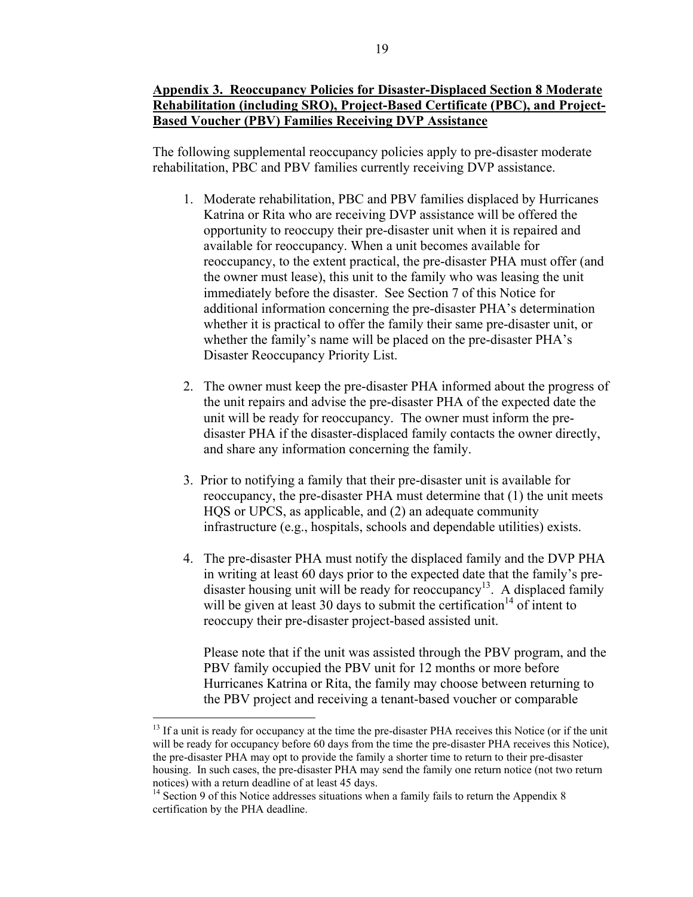The following supplemental reoccupancy policies apply to pre-disaster moderate rehabilitation, PBC and PBV families currently receiving DVP assistance.

- 1. Moderate rehabilitation, PBC and PBV families displaced by Hurricanes Katrina or Rita who are receiving DVP assistance will be offered the opportunity to reoccupy their pre-disaster unit when it is repaired and available for reoccupancy. When a unit becomes available for reoccupancy, to the extent practical, the pre-disaster PHA must offer (and the owner must lease), this unit to the family who was leasing the unit immediately before the disaster. See Section 7 of this Notice for additional information concerning the pre-disaster PHA's determination whether it is practical to offer the family their same pre-disaster unit, or whether the family's name will be placed on the pre-disaster PHA's Disaster Reoccupancy Priority List.
- 2. The owner must keep the pre-disaster PHA informed about the progress of the unit repairs and advise the pre-disaster PHA of the expected date the unit will be ready for reoccupancy. The owner must inform the predisaster PHA if the disaster-displaced family contacts the owner directly, and share any information concerning the family.
- 3. Prior to notifying a family that their pre-disaster unit is available for reoccupancy, the pre-disaster PHA must determine that (1) the unit meets HQS or UPCS, as applicable, and (2) an adequate community infrastructure (e.g., hospitals, schools and dependable utilities) exists.
- 4. The pre-disaster PHA must notify the displaced family and the DVP PHA in writing at least 60 days prior to the expected date that the family's predisaster housing unit will be ready for reoccupancy<sup>13</sup>. A displaced family will be given at least 30 days to submit the certification<sup>14</sup> of intent to reoccupy their pre-disaster project-based assisted unit.

Please note that if the unit was assisted through the PBV program, and the PBV family occupied the PBV unit for 12 months or more before Hurricanes Katrina or Rita, the family may choose between returning to the PBV project and receiving a tenant-based voucher or comparable

<span id="page-18-0"></span><sup>&</sup>lt;sup>13</sup> If a unit is ready for occupancy at the time the pre-disaster PHA receives this Notice (or if the unit will be ready for occupancy before 60 days from the time the pre-disaster PHA receives this Notice), the pre-disaster PHA may opt to provide the family a shorter time to return to their pre-disaster housing. In such cases, the pre-disaster PHA may send the family one return notice (not two return notices) with a return deadline of at least 45 days.

<span id="page-18-1"></span><sup>&</sup>lt;sup>14</sup> Section 9 of this Notice addresses situations when a family fails to return the Appendix 8 certification by the PHA deadline.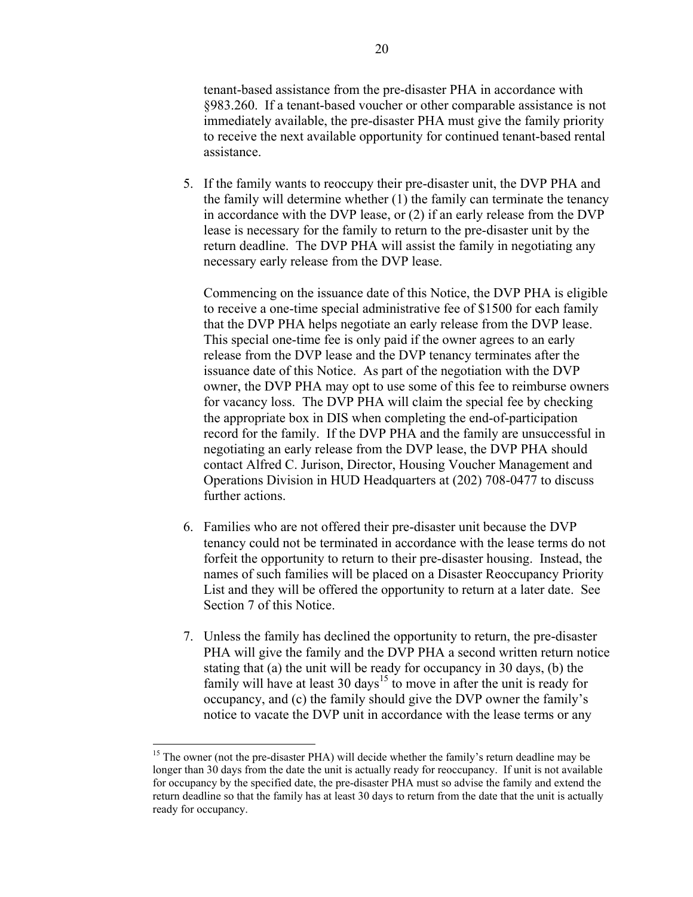tenant-based assistance from the pre-disaster PHA in accordance with §983.260. If a tenant-based voucher or other comparable assistance is not immediately available, the pre-disaster PHA must give the family priority to receive the next available opportunity for continued tenant-based rental assistance.

5. If the family wants to reoccupy their pre-disaster unit, the DVP PHA and the family will determine whether (1) the family can terminate the tenancy in accordance with the DVP lease, or (2) if an early release from the DVP lease is necessary for the family to return to the pre-disaster unit by the return deadline. The DVP PHA will assist the family in negotiating any necessary early release from the DVP lease.

Commencing on the issuance date of this Notice, the DVP PHA is eligible to receive a one-time special administrative fee of \$1500 for each family that the DVP PHA helps negotiate an early release from the DVP lease. This special one-time fee is only paid if the owner agrees to an early release from the DVP lease and the DVP tenancy terminates after the issuance date of this Notice. As part of the negotiation with the DVP owner, the DVP PHA may opt to use some of this fee to reimburse owners for vacancy loss. The DVP PHA will claim the special fee by checking the appropriate box in DIS when completing the end-of-participation record for the family. If the DVP PHA and the family are unsuccessful in negotiating an early release from the DVP lease, the DVP PHA should contact Alfred C. Jurison, Director, Housing Voucher Management and Operations Division in HUD Headquarters at (202) 708-0477 to discuss further actions.

- 6. Families who are not offered their pre-disaster unit because the DVP tenancy could not be terminated in accordance with the lease terms do not forfeit the opportunity to return to their pre-disaster housing. Instead, the names of such families will be placed on a Disaster Reoccupancy Priority List and they will be offered the opportunity to return at a later date. See Section 7 of this Notice.
- 7. Unless the family has declined the opportunity to return, the pre-disaster PHA will give the family and the DVP PHA a second written return notice stating that (a) the unit will be ready for occupancy in 30 days, (b) the family will have at least 30 days<sup>15</sup> to move in after the unit is ready for occupancy, and (c) the family should give the DVP owner the family's notice to vacate the DVP unit in accordance with the lease terms or any

<span id="page-19-0"></span><sup>&</sup>lt;sup>15</sup> The owner (not the pre-disaster PHA) will decide whether the family's return deadline may be longer than 30 days from the date the unit is actually ready for reoccupancy. If unit is not available for occupancy by the specified date, the pre-disaster PHA must so advise the family and extend the return deadline so that the family has at least 30 days to return from the date that the unit is actually ready for occupancy.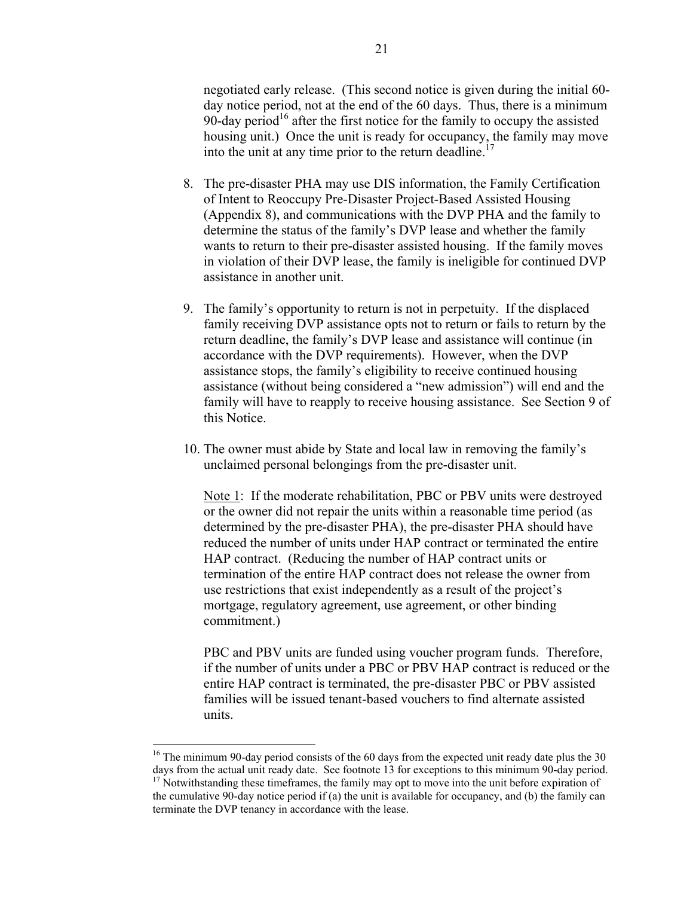negotiated early release. (This second notice is given during the initial 60 day notice period, not at the end of the 60 days. Thus, there is a minimum 90-day period<sup>16</sup> after the first notice for the family to occupy the assisted housing unit.) Once the unit is ready for occupancy, the family may move into the unit at any time prior to the return deadline.<sup>17</sup>

- 8. The pre-disaster PHA may use DIS information, the Family Certification of Intent to Reoccupy Pre-Disaster Project-Based Assisted Housing (Appendix 8), and communications with the DVP PHA and the family to determine the status of the family's DVP lease and whether the family wants to return to their pre-disaster assisted housing. If the family moves in violation of their DVP lease, the family is ineligible for continued DVP assistance in another unit.
- 9. The family's opportunity to return is not in perpetuity. If the displaced family receiving DVP assistance opts not to return or fails to return by the return deadline, the family's DVP lease and assistance will continue (in accordance with the DVP requirements). However, when the DVP assistance stops, the family's eligibility to receive continued housing assistance (without being considered a "new admission") will end and the family will have to reapply to receive housing assistance. See Section 9 of this Notice.
- 10. The owner must abide by State and local law in removing the family's unclaimed personal belongings from the pre-disaster unit.

Note 1: If the moderate rehabilitation, PBC or PBV units were destroyed or the owner did not repair the units within a reasonable time period (as determined by the pre-disaster PHA), the pre-disaster PHA should have reduced the number of units under HAP contract or terminated the entire HAP contract. (Reducing the number of HAP contract units or termination of the entire HAP contract does not release the owner from use restrictions that exist independently as a result of the project's mortgage, regulatory agreement, use agreement, or other binding commitment.)

PBC and PBV units are funded using voucher program funds. Therefore, if the number of units under a PBC or PBV HAP contract is reduced or the entire HAP contract is terminated, the pre-disaster PBC or PBV assisted families will be issued tenant-based vouchers to find alternate assisted units.

1

<span id="page-20-0"></span><sup>&</sup>lt;sup>16</sup> The minimum 90-day period consists of the 60 days from the expected unit ready date plus the 30 days from the actual unit ready date. See footnote 13 for exceptions to this minimum 90-day period.

<span id="page-20-1"></span><sup>&</sup>lt;sup>17</sup> Notwithstanding these timeframes, the family may opt to move into the unit before expiration of the cumulative 90-day notice period if (a) the unit is available for occupancy, and (b) the family can terminate the DVP tenancy in accordance with the lease.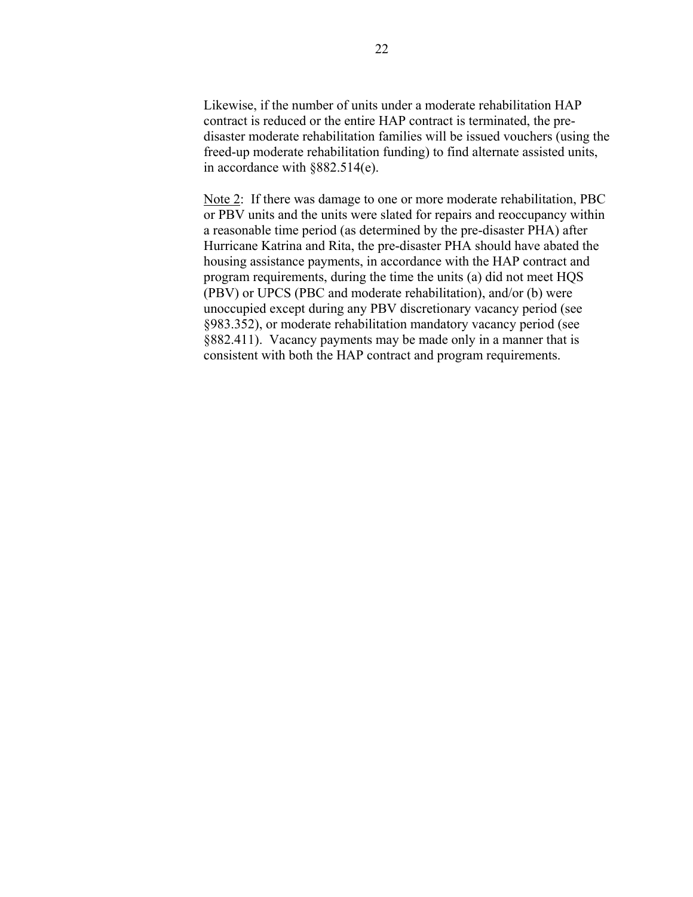Likewise, if the number of units under a moderate rehabilitation HAP contract is reduced or the entire HAP contract is terminated, the predisaster moderate rehabilitation families will be issued vouchers (using the freed-up moderate rehabilitation funding) to find alternate assisted units, in accordance with §882.514(e).

Note 2: If there was damage to one or more moderate rehabilitation, PBC or PBV units and the units were slated for repairs and reoccupancy within a reasonable time period (as determined by the pre-disaster PHA) after Hurricane Katrina and Rita, the pre-disaster PHA should have abated the housing assistance payments, in accordance with the HAP contract and program requirements, during the time the units (a) did not meet HQS (PBV) or UPCS (PBC and moderate rehabilitation), and/or (b) were unoccupied except during any PBV discretionary vacancy period (see §983.352), or moderate rehabilitation mandatory vacancy period (see §882.411). Vacancy payments may be made only in a manner that is consistent with both the HAP contract and program requirements.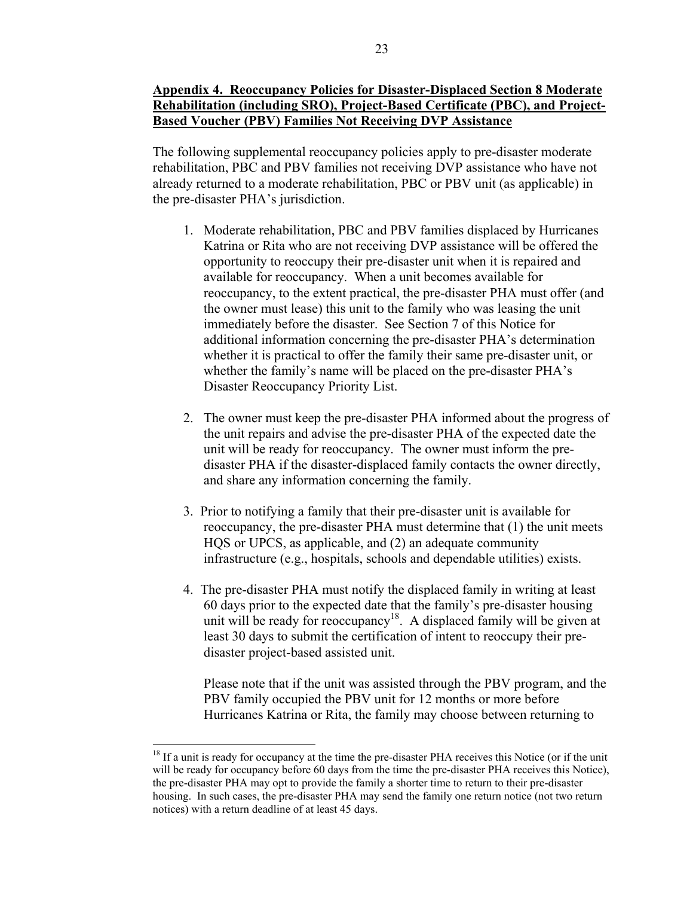# **Appendix 4. Reoccupancy Policies for Disaster-Displaced Section 8 Moderate Rehabilitation (including SRO), Project-Based Certificate (PBC), and Project-Based Voucher (PBV) Families Not Receiving DVP Assistance**

The following supplemental reoccupancy policies apply to pre-disaster moderate rehabilitation, PBC and PBV families not receiving DVP assistance who have not already returned to a moderate rehabilitation, PBC or PBV unit (as applicable) in the pre-disaster PHA's jurisdiction.

- 1. Moderate rehabilitation, PBC and PBV families displaced by Hurricanes Katrina or Rita who are not receiving DVP assistance will be offered the opportunity to reoccupy their pre-disaster unit when it is repaired and available for reoccupancy. When a unit becomes available for reoccupancy, to the extent practical, the pre-disaster PHA must offer (and the owner must lease) this unit to the family who was leasing the unit immediately before the disaster. See Section 7 of this Notice for additional information concerning the pre-disaster PHA's determination whether it is practical to offer the family their same pre-disaster unit, or whether the family's name will be placed on the pre-disaster PHA's Disaster Reoccupancy Priority List.
- 2. The owner must keep the pre-disaster PHA informed about the progress of the unit repairs and advise the pre-disaster PHA of the expected date the unit will be ready for reoccupancy. The owner must inform the predisaster PHA if the disaster-displaced family contacts the owner directly, and share any information concerning the family.
- 3. Prior to notifying a family that their pre-disaster unit is available for reoccupancy, the pre-disaster PHA must determine that (1) the unit meets HQS or UPCS, as applicable, and (2) an adequate community infrastructure (e.g., hospitals, schools and dependable utilities) exists.
- 4. The pre-disaster PHA must notify the displaced family in writing at least 60 days prior to the expected date that the family's pre-disaster housing unit will be ready for reoccupancy<sup>18</sup>. A displaced family will be given at least 30 days to submit the certification of intent to reoccupy their predisaster project-based assisted unit.

Please note that if the unit was assisted through the PBV program, and the PBV family occupied the PBV unit for 12 months or more before Hurricanes Katrina or Rita, the family may choose between returning to

<span id="page-22-0"></span><sup>&</sup>lt;sup>18</sup> If a unit is ready for occupancy at the time the pre-disaster PHA receives this Notice (or if the unit will be ready for occupancy before 60 days from the time the pre-disaster PHA receives this Notice), the pre-disaster PHA may opt to provide the family a shorter time to return to their pre-disaster housing. In such cases, the pre-disaster PHA may send the family one return notice (not two return notices) with a return deadline of at least 45 days.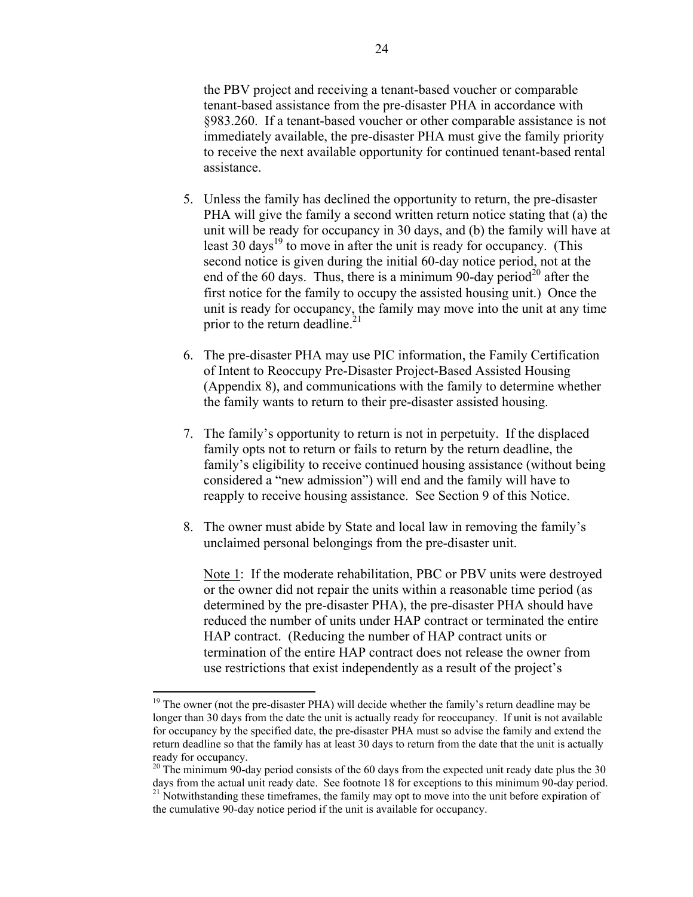the PBV project and receiving a tenant-based voucher or comparable tenant-based assistance from the pre-disaster PHA in accordance with §983.260. If a tenant-based voucher or other comparable assistance is not immediately available, the pre-disaster PHA must give the family priority to receive the next available opportunity for continued tenant-based rental assistance.

- 5. Unless the family has declined the opportunity to return, the pre-disaster PHA will give the family a second written return notice stating that (a) the unit will be ready for occupancy in 30 days, and (b) the family will have at least 30 days<sup>19</sup> to move in after the unit is ready for occupancy. (This second notice is given during the initial 60-day notice period, not at the end of the 60 days. Thus, there is a minimum 90-day period<sup>20</sup> after the first notice for the family to occupy the assisted housing unit.) Once the unit is ready for occupancy, the family may move into the unit at any time prior to the return deadline. $21$
- 6. The pre-disaster PHA may use PIC information, the Family Certification of Intent to Reoccupy Pre-Disaster Project-Based Assisted Housing (Appendix 8), and communications with the family to determine whether the family wants to return to their pre-disaster assisted housing.
- 7. The family's opportunity to return is not in perpetuity. If the displaced family opts not to return or fails to return by the return deadline, the family's eligibility to receive continued housing assistance (without being considered a "new admission") will end and the family will have to reapply to receive housing assistance. See Section 9 of this Notice.
- 8. The owner must abide by State and local law in removing the family's unclaimed personal belongings from the pre-disaster unit.

Note 1: If the moderate rehabilitation, PBC or PBV units were destroyed or the owner did not repair the units within a reasonable time period (as determined by the pre-disaster PHA), the pre-disaster PHA should have reduced the number of units under HAP contract or terminated the entire HAP contract. (Reducing the number of HAP contract units or termination of the entire HAP contract does not release the owner from use restrictions that exist independently as a result of the project's

1

<span id="page-23-0"></span><sup>&</sup>lt;sup>19</sup> The owner (not the pre-disaster PHA) will decide whether the family's return deadline may be longer than 30 days from the date the unit is actually ready for reoccupancy. If unit is not available for occupancy by the specified date, the pre-disaster PHA must so advise the family and extend the return deadline so that the family has at least 30 days to return from the date that the unit is actually ready for occupancy.

<span id="page-23-2"></span><span id="page-23-1"></span> $20$  The minimum 90-day period consists of the 60 days from the expected unit ready date plus the 30 days from the actual unit ready date. See footnote 18 for exceptions to this minimum 90-day period. <sup>21</sup> Notwithstanding these timeframes, the family may opt to move into the unit before expiration of the cumulative 90-day notice period if the unit is available for occupancy.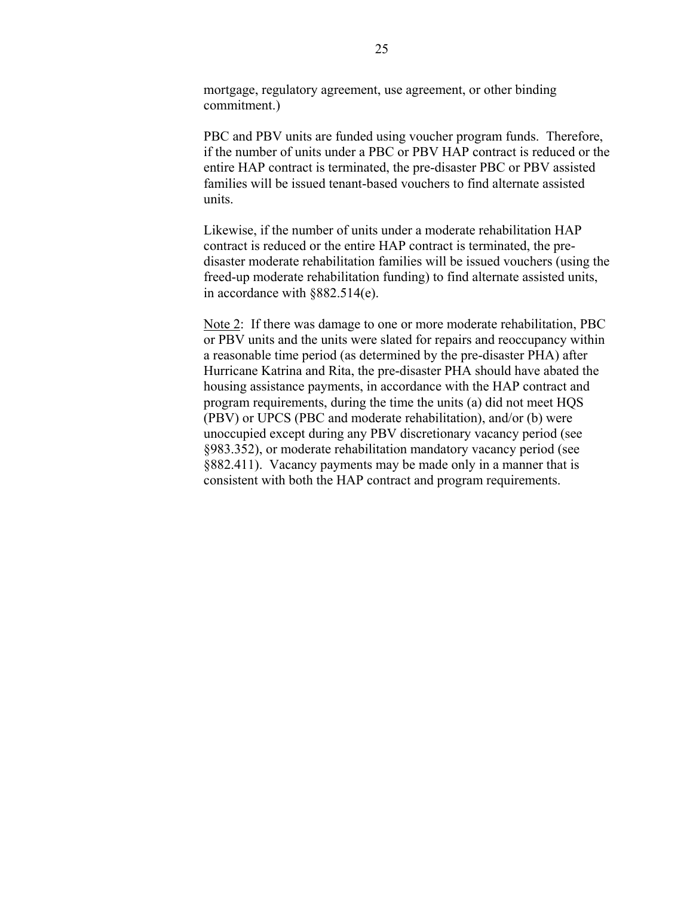mortgage, regulatory agreement, use agreement, or other binding commitment.)

PBC and PBV units are funded using voucher program funds. Therefore, if the number of units under a PBC or PBV HAP contract is reduced or the entire HAP contract is terminated, the pre-disaster PBC or PBV assisted families will be issued tenant-based vouchers to find alternate assisted units.

Likewise, if the number of units under a moderate rehabilitation HAP contract is reduced or the entire HAP contract is terminated, the predisaster moderate rehabilitation families will be issued vouchers (using the freed-up moderate rehabilitation funding) to find alternate assisted units, in accordance with §882.514(e).

Note 2: If there was damage to one or more moderate rehabilitation, PBC or PBV units and the units were slated for repairs and reoccupancy within a reasonable time period (as determined by the pre-disaster PHA) after Hurricane Katrina and Rita, the pre-disaster PHA should have abated the housing assistance payments, in accordance with the HAP contract and program requirements, during the time the units (a) did not meet HQS (PBV) or UPCS (PBC and moderate rehabilitation), and/or (b) were unoccupied except during any PBV discretionary vacancy period (see §983.352), or moderate rehabilitation mandatory vacancy period (see §882.411). Vacancy payments may be made only in a manner that is consistent with both the HAP contract and program requirements.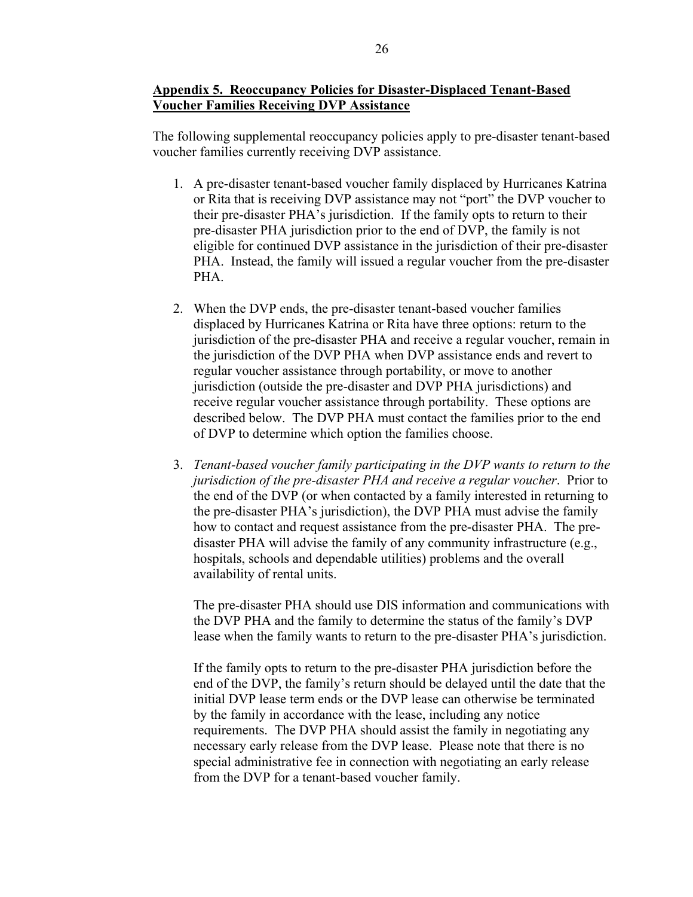## **Appendix 5. Reoccupancy Policies for Disaster-Displaced Tenant-Based Voucher Families Receiving DVP Assistance**

The following supplemental reoccupancy policies apply to pre-disaster tenant-based voucher families currently receiving DVP assistance.

- 1. A pre-disaster tenant-based voucher family displaced by Hurricanes Katrina or Rita that is receiving DVP assistance may not "port" the DVP voucher to their pre-disaster PHA's jurisdiction. If the family opts to return to their pre-disaster PHA jurisdiction prior to the end of DVP, the family is not eligible for continued DVP assistance in the jurisdiction of their pre-disaster PHA. Instead, the family will issued a regular voucher from the pre-disaster PHA.
- 2. When the DVP ends, the pre-disaster tenant-based voucher families displaced by Hurricanes Katrina or Rita have three options: return to the jurisdiction of the pre-disaster PHA and receive a regular voucher, remain in the jurisdiction of the DVP PHA when DVP assistance ends and revert to regular voucher assistance through portability, or move to another jurisdiction (outside the pre-disaster and DVP PHA jurisdictions) and receive regular voucher assistance through portability. These options are described below. The DVP PHA must contact the families prior to the end of DVP to determine which option the families choose.
- 3. *Tenant-based voucher family participating in the DVP wants to return to the jurisdiction of the pre-disaster PHA and receive a regular voucher*. Prior to the end of the DVP (or when contacted by a family interested in returning to the pre-disaster PHA's jurisdiction), the DVP PHA must advise the family how to contact and request assistance from the pre-disaster PHA. The predisaster PHA will advise the family of any community infrastructure (e.g., hospitals, schools and dependable utilities) problems and the overall availability of rental units.

The pre-disaster PHA should use DIS information and communications with the DVP PHA and the family to determine the status of the family's DVP lease when the family wants to return to the pre-disaster PHA's jurisdiction.

If the family opts to return to the pre-disaster PHA jurisdiction before the end of the DVP, the family's return should be delayed until the date that the initial DVP lease term ends or the DVP lease can otherwise be terminated by the family in accordance with the lease, including any notice requirements. The DVP PHA should assist the family in negotiating any necessary early release from the DVP lease. Please note that there is no special administrative fee in connection with negotiating an early release from the DVP for a tenant-based voucher family.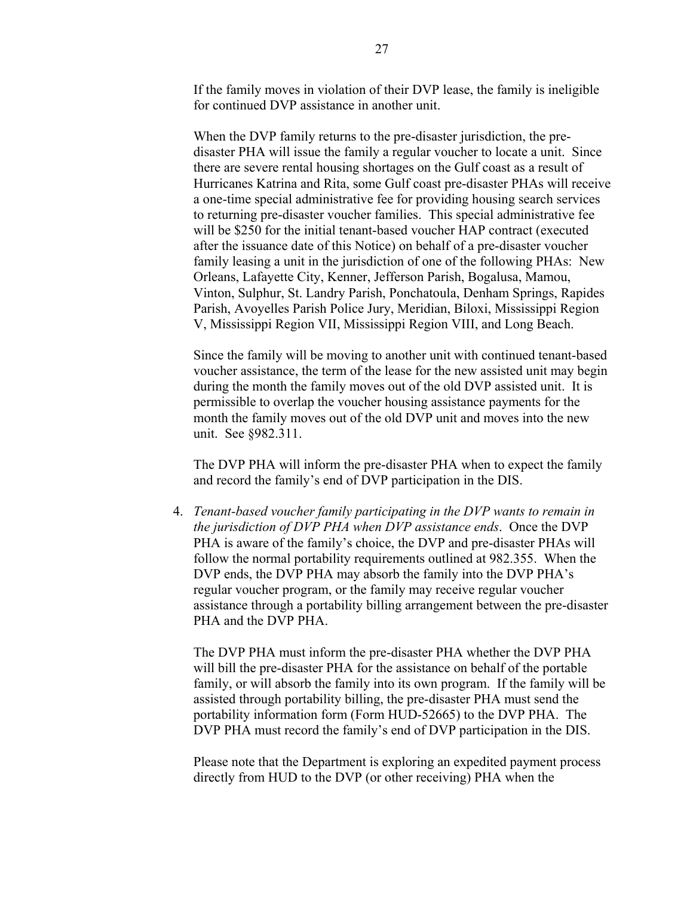If the family moves in violation of their DVP lease, the family is ineligible for continued DVP assistance in another unit.

When the DVP family returns to the pre-disaster jurisdiction, the predisaster PHA will issue the family a regular voucher to locate a unit. Since there are severe rental housing shortages on the Gulf coast as a result of Hurricanes Katrina and Rita, some Gulf coast pre-disaster PHAs will receive a one-time special administrative fee for providing housing search services to returning pre-disaster voucher families. This special administrative fee will be \$250 for the initial tenant-based voucher HAP contract (executed after the issuance date of this Notice) on behalf of a pre-disaster voucher family leasing a unit in the jurisdiction of one of the following PHAs: New Orleans, Lafayette City, Kenner, Jefferson Parish, Bogalusa, Mamou, Vinton, Sulphur, St. Landry Parish, Ponchatoula, Denham Springs, Rapides Parish, Avoyelles Parish Police Jury, Meridian, Biloxi, Mississippi Region V, Mississippi Region VII, Mississippi Region VIII, and Long Beach.

Since the family will be moving to another unit with continued tenant-based voucher assistance, the term of the lease for the new assisted unit may begin during the month the family moves out of the old DVP assisted unit. It is permissible to overlap the voucher housing assistance payments for the month the family moves out of the old DVP unit and moves into the new unit. See §982.311.

The DVP PHA will inform the pre-disaster PHA when to expect the family and record the family's end of DVP participation in the DIS.

4. *Tenant-based voucher family participating in the DVP wants to remain in the jurisdiction of DVP PHA when DVP assistance ends*. Once the DVP PHA is aware of the family's choice, the DVP and pre-disaster PHAs will follow the normal portability requirements outlined at 982.355. When the DVP ends, the DVP PHA may absorb the family into the DVP PHA's regular voucher program, or the family may receive regular voucher assistance through a portability billing arrangement between the pre-disaster PHA and the DVP PHA.

The DVP PHA must inform the pre-disaster PHA whether the DVP PHA will bill the pre-disaster PHA for the assistance on behalf of the portable family, or will absorb the family into its own program. If the family will be assisted through portability billing, the pre-disaster PHA must send the portability information form (Form HUD-52665) to the DVP PHA. The DVP PHA must record the family's end of DVP participation in the DIS.

Please note that the Department is exploring an expedited payment process directly from HUD to the DVP (or other receiving) PHA when the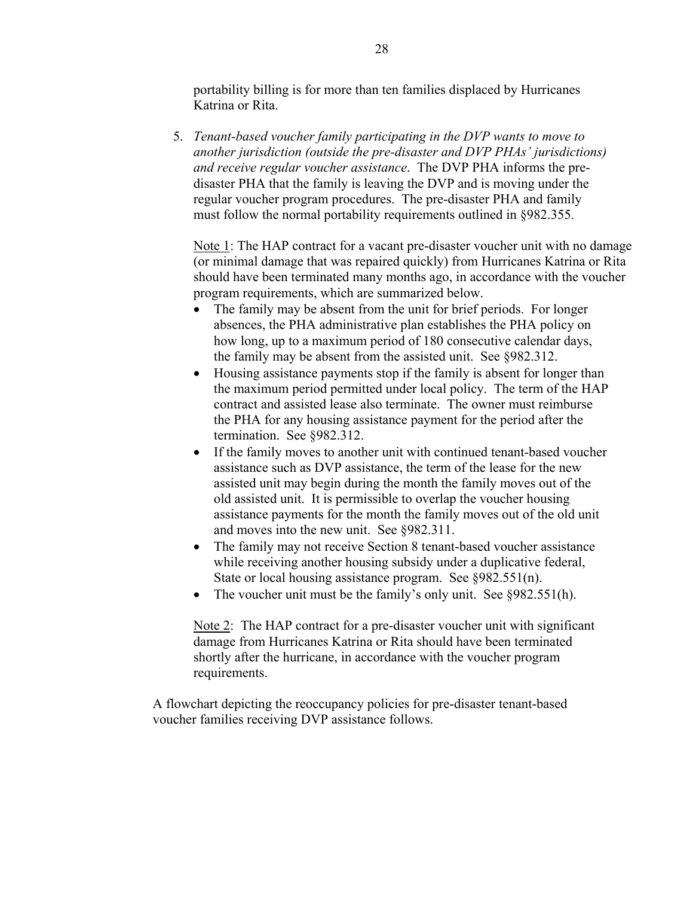portability billing is for more than ten families displaced by Hurricanes Katrina or Rita.

5. *Tenant-based voucher family participating in the DVP wants to move to another jurisdiction (outside the pre-disaster and DVP PHAs' jurisdictions) and receive regular voucher assistance*. The DVP PHA informs the predisaster PHA that the family is leaving the DVP and is moving under the regular voucher program procedures. The pre-disaster PHA and family must follow the normal portability requirements outlined in §982.355.

Note 1: The HAP contract for a vacant pre-disaster voucher unit with no damage (or minimal damage that was repaired quickly) from Hurricanes Katrina or Rita should have been terminated many months ago, in accordance with the voucher program requirements, which are summarized below.

- The family may be absent from the unit for brief periods. For longer absences, the PHA administrative plan establishes the PHA policy on how long, up to a maximum period of 180 consecutive calendar days, the family may be absent from the assisted unit. See §982.312.
- Housing assistance payments stop if the family is absent for longer than the maximum period permitted under local policy. The term of the HAP contract and assisted lease also terminate. The owner must reimburse the PHA for any housing assistance payment for the period after the termination. See §982.312.
- If the family moves to another unit with continued tenant-based voucher assistance such as DVP assistance, the term of the lease for the new assisted unit may begin during the month the family moves out of the old assisted unit. It is permissible to overlap the voucher housing assistance payments for the month the family moves out of the old unit and moves into the new unit. See §982.311.
- The family may not receive Section 8 tenant-based voucher assistance while receiving another housing subsidy under a duplicative federal, State or local housing assistance program. See §982.551(n).
- The voucher unit must be the family's only unit. See §982.551(h).

Note 2: The HAP contract for a pre-disaster voucher unit with significant damage from Hurricanes Katrina or Rita should have been terminated shortly after the hurricane, in accordance with the voucher program requirements.

A flowchart depicting the reoccupancy policies for pre-disaster tenant-based voucher families receiving DVP assistance follows.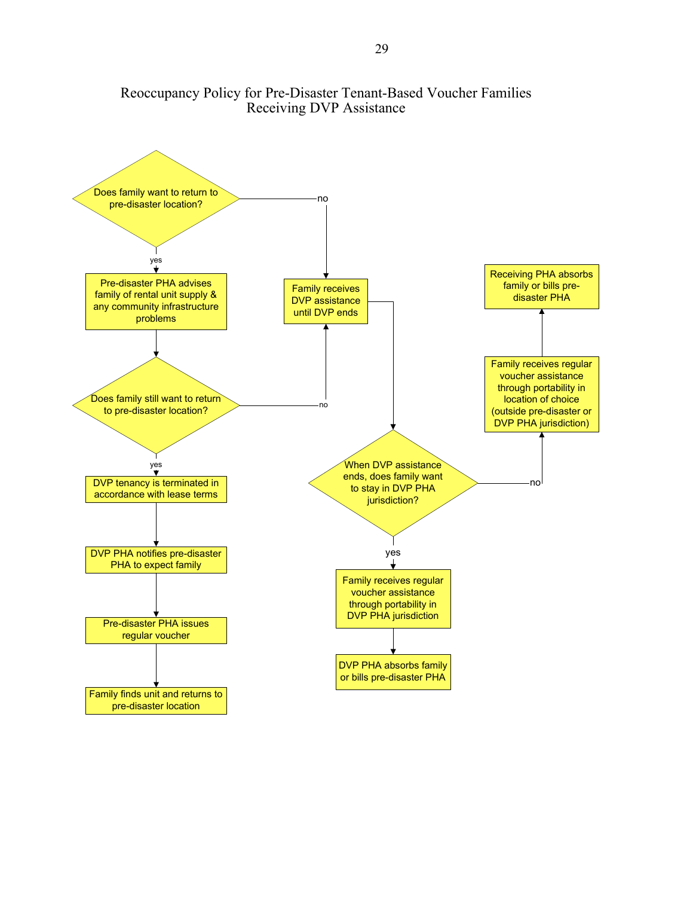

# Reoccupancy Policy for Pre-Disaster Tenant-Based Voucher Families Receiving DVP Assistance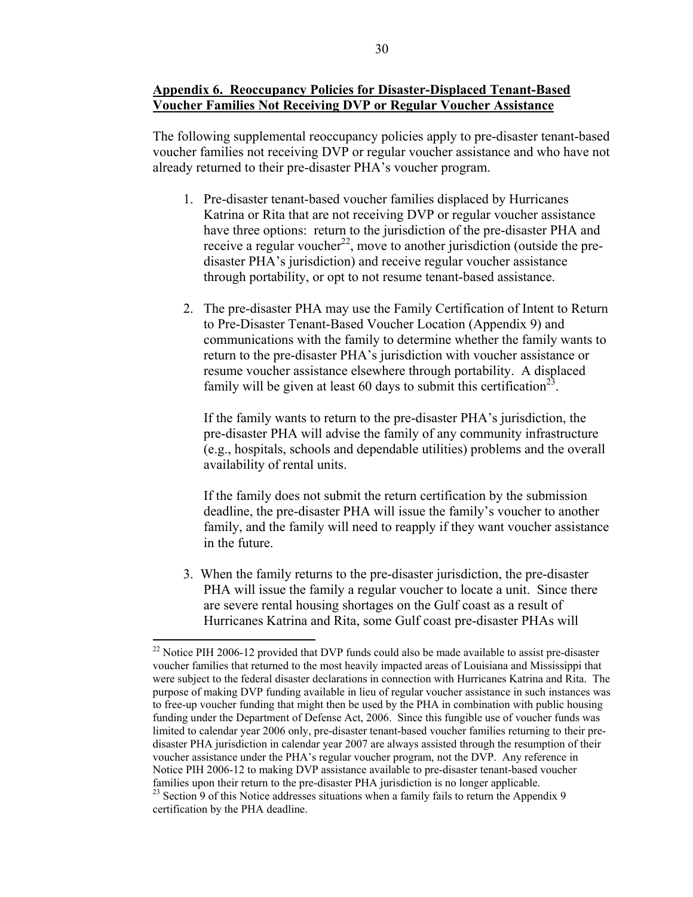## **Appendix 6. Reoccupancy Policies for Disaster-Displaced Tenant-Based Voucher Families Not Receiving DVP or Regular Voucher Assistance**

The following supplemental reoccupancy policies apply to pre-disaster tenant-based voucher families not receiving DVP or regular voucher assistance and who have not already returned to their pre-disaster PHA's voucher program.

- 1. Pre-disaster tenant-based voucher families displaced by Hurricanes Katrina or Rita that are not receiving DVP or regular voucher assistance have three options: return to the jurisdiction of the pre-disaster PHA and receive a regular voucher<sup>22</sup>, move to another jurisdiction (outside the predisaster PHA's jurisdiction) and receive regular voucher assistance through portability, or opt to not resume tenant-based assistance.
- 2. The pre-disaster PHA may use the Family Certification of Intent to Return to Pre-Disaster Tenant-Based Voucher Location (Appendix 9) and communications with the family to determine whether the family wants to return to the pre-disaster PHA's jurisdiction with voucher assistance or resume voucher assistance elsewhere through portability. A displaced family will be given at least 60 days to submit this certification<sup>23</sup>.

If the family wants to return to the pre-disaster PHA's jurisdiction, the pre-disaster PHA will advise the family of any community infrastructure (e.g., hospitals, schools and dependable utilities) problems and the overall availability of rental units.

If the family does not submit the return certification by the submission deadline, the pre-disaster PHA will issue the family's voucher to another family, and the family will need to reapply if they want voucher assistance in the future.

3. When the family returns to the pre-disaster jurisdiction, the pre-disaster PHA will issue the family a regular voucher to locate a unit. Since there are severe rental housing shortages on the Gulf coast as a result of Hurricanes Katrina and Rita, some Gulf coast pre-disaster PHAs will

<span id="page-29-1"></span><span id="page-29-0"></span> $\overline{a}$  $^{22}$  Notice PIH 2006-12 provided that DVP funds could also be made available to assist pre-disaster voucher families that returned to the most heavily impacted areas of Louisiana and Mississippi that were subject to the federal disaster declarations in connection with Hurricanes Katrina and Rita. The purpose of making DVP funding available in lieu of regular voucher assistance in such instances was to free-up voucher funding that might then be used by the PHA in combination with public housing funding under the Department of Defense Act, 2006. Since this fungible use of voucher funds was limited to calendar year 2006 only, pre-disaster tenant-based voucher families returning to their predisaster PHA jurisdiction in calendar year 2007 are always assisted through the resumption of their voucher assistance under the PHA's regular voucher program, not the DVP. Any reference in Notice PIH 2006-12 to making DVP assistance available to pre-disaster tenant-based voucher families upon their return to the pre-disaster PHA jurisdiction is no longer applicable. <sup>23</sup> Section 9 of this Notice addresses situations when a family fails to return the Appendix 9 certification by the PHA deadline.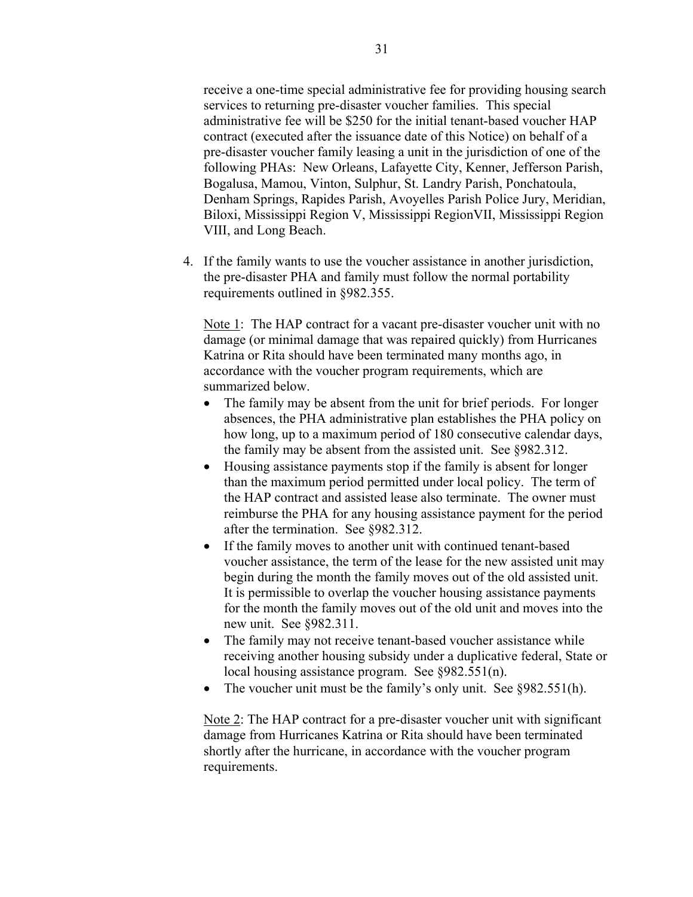receive a one-time special administrative fee for providing housing search services to returning pre-disaster voucher families. This special administrative fee will be \$250 for the initial tenant-based voucher HAP contract (executed after the issuance date of this Notice) on behalf of a pre-disaster voucher family leasing a unit in the jurisdiction of one of the following PHAs: New Orleans, Lafayette City, Kenner, Jefferson Parish, Bogalusa, Mamou, Vinton, Sulphur, St. Landry Parish, Ponchatoula, Denham Springs, Rapides Parish, Avoyelles Parish Police Jury, Meridian, Biloxi, Mississippi Region V, Mississippi RegionVII, Mississippi Region VIII, and Long Beach.

4. If the family wants to use the voucher assistance in another jurisdiction, the pre-disaster PHA and family must follow the normal portability requirements outlined in §982.355.

Note 1: The HAP contract for a vacant pre-disaster voucher unit with no damage (or minimal damage that was repaired quickly) from Hurricanes Katrina or Rita should have been terminated many months ago, in accordance with the voucher program requirements, which are summarized below.

- The family may be absent from the unit for brief periods. For longer absences, the PHA administrative plan establishes the PHA policy on how long, up to a maximum period of 180 consecutive calendar days, the family may be absent from the assisted unit. See §982.312.
- Housing assistance payments stop if the family is absent for longer than the maximum period permitted under local policy. The term of the HAP contract and assisted lease also terminate. The owner must reimburse the PHA for any housing assistance payment for the period after the termination. See §982.312.
- If the family moves to another unit with continued tenant-based voucher assistance, the term of the lease for the new assisted unit may begin during the month the family moves out of the old assisted unit. It is permissible to overlap the voucher housing assistance payments for the month the family moves out of the old unit and moves into the new unit. See §982.311.
- The family may not receive tenant-based voucher assistance while receiving another housing subsidy under a duplicative federal, State or local housing assistance program. See §982.551(n).
- The voucher unit must be the family's only unit. See §982.551(h).

Note 2: The HAP contract for a pre-disaster voucher unit with significant damage from Hurricanes Katrina or Rita should have been terminated shortly after the hurricane, in accordance with the voucher program requirements.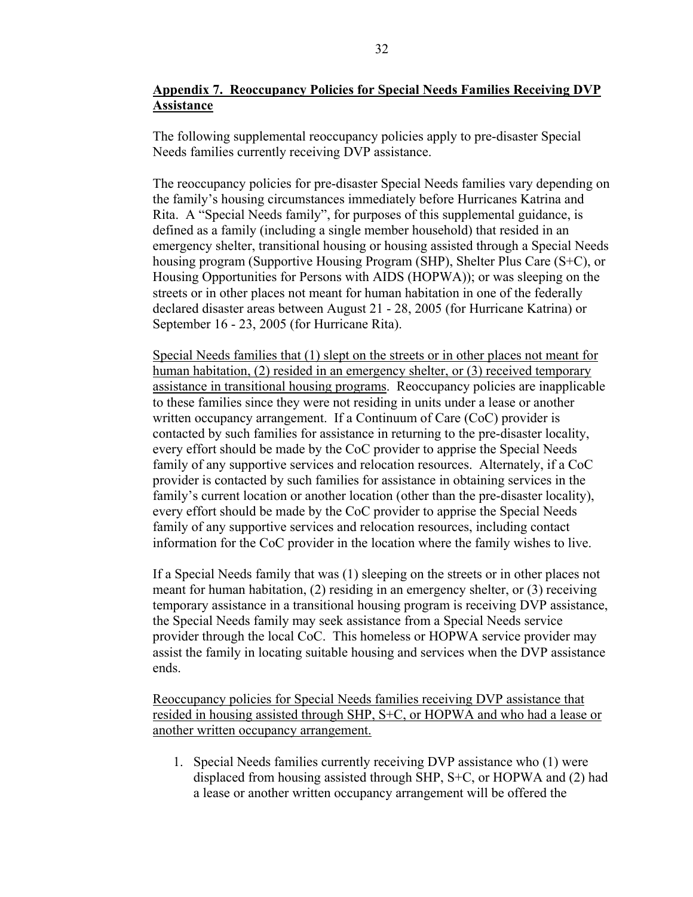# **Appendix 7. Reoccupancy Policies for Special Needs Families Receiving DVP Assistance**

The following supplemental reoccupancy policies apply to pre-disaster Special Needs families currently receiving DVP assistance.

The reoccupancy policies for pre-disaster Special Needs families vary depending on the family's housing circumstances immediately before Hurricanes Katrina and Rita. A "Special Needs family", for purposes of this supplemental guidance, is defined as a family (including a single member household) that resided in an emergency shelter, transitional housing or housing assisted through a Special Needs housing program (Supportive Housing Program (SHP), Shelter Plus Care (S+C), or Housing Opportunities for Persons with AIDS (HOPWA)); or was sleeping on the streets or in other places not meant for human habitation in one of the federally declared disaster areas between August 21 - 28, 2005 (for Hurricane Katrina) or September 16 - 23, 2005 (for Hurricane Rita).

Special Needs families that (1) slept on the streets or in other places not meant for human habitation, (2) resided in an emergency shelter, or (3) received temporary assistance in transitional housing programs. Reoccupancy policies are inapplicable to these families since they were not residing in units under a lease or another written occupancy arrangement. If a Continuum of Care (CoC) provider is contacted by such families for assistance in returning to the pre-disaster locality, every effort should be made by the CoC provider to apprise the Special Needs family of any supportive services and relocation resources. Alternately, if a CoC provider is contacted by such families for assistance in obtaining services in the family's current location or another location (other than the pre-disaster locality), every effort should be made by the CoC provider to apprise the Special Needs family of any supportive services and relocation resources, including contact information for the CoC provider in the location where the family wishes to live.

If a Special Needs family that was (1) sleeping on the streets or in other places not meant for human habitation, (2) residing in an emergency shelter, or (3) receiving temporary assistance in a transitional housing program is receiving DVP assistance, the Special Needs family may seek assistance from a Special Needs service provider through the local CoC. This homeless or HOPWA service provider may assist the family in locating suitable housing and services when the DVP assistance ends.

Reoccupancy policies for Special Needs families receiving DVP assistance that resided in housing assisted through SHP, S+C, or HOPWA and who had a lease or another written occupancy arrangement.

1. Special Needs families currently receiving DVP assistance who (1) were displaced from housing assisted through SHP, S+C, or HOPWA and (2) had a lease or another written occupancy arrangement will be offered the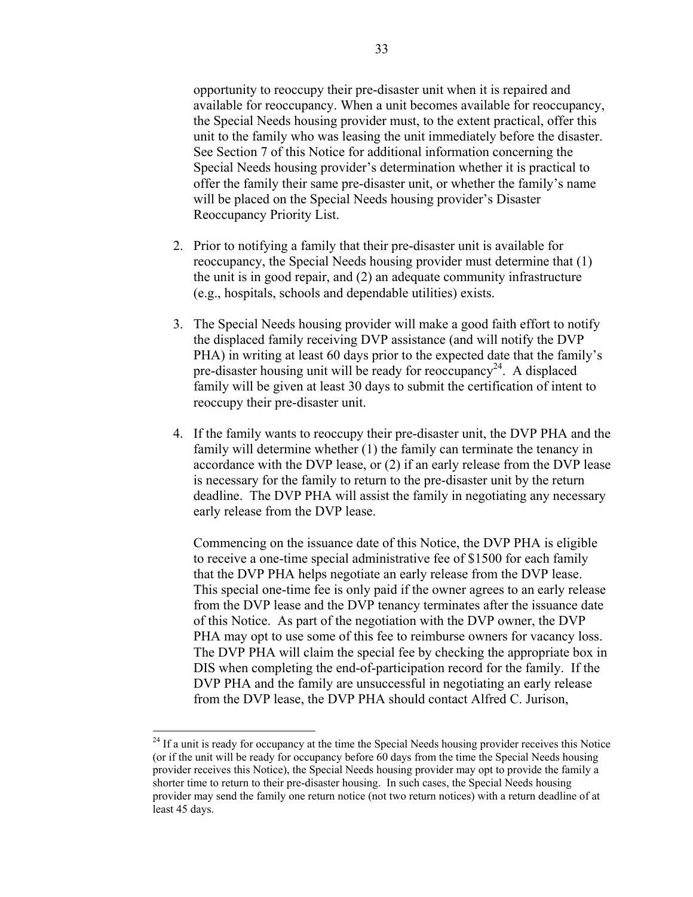opportunity to reoccupy their pre-disaster unit when it is repaired and available for reoccupancy. When a unit becomes available for reoccupancy, the Special Needs housing provider must, to the extent practical, offer this unit to the family who was leasing the unit immediately before the disaster. See Section 7 of this Notice for additional information concerning the Special Needs housing provider's determination whether it is practical to offer the family their same pre-disaster unit, or whether the family's name will be placed on the Special Needs housing provider's Disaster Reoccupancy Priority List.

- 2. Prior to notifying a family that their pre-disaster unit is available for reoccupancy, the Special Needs housing provider must determine that (1) the unit is in good repair, and (2) an adequate community infrastructure (e.g., hospitals, schools and dependable utilities) exists.
- 3. The Special Needs housing provider will make a good faith effort to notify the displaced family receiving DVP assistance (and will notify the DVP PHA) in writing at least 60 days prior to the expected date that the family's pre-disaster housing unit will be ready for reoccupancy<sup>24</sup>. A displaced family will be given at least 30 days to submit the certification of intent to reoccupy their pre-disaster unit.
- 4. If the family wants to reoccupy their pre-disaster unit, the DVP PHA and the family will determine whether (1) the family can terminate the tenancy in accordance with the DVP lease, or (2) if an early release from the DVP lease is necessary for the family to return to the pre-disaster unit by the return deadline. The DVP PHA will assist the family in negotiating any necessary early release from the DVP lease.

Commencing on the issuance date of this Notice, the DVP PHA is eligible to receive a one-time special administrative fee of \$1500 for each family that the DVP PHA helps negotiate an early release from the DVP lease. This special one-time fee is only paid if the owner agrees to an early release from the DVP lease and the DVP tenancy terminates after the issuance date of this Notice. As part of the negotiation with the DVP owner, the DVP PHA may opt to use some of this fee to reimburse owners for vacancy loss. The DVP PHA will claim the special fee by checking the appropriate box in DIS when completing the end-of-participation record for the family. If the DVP PHA and the family are unsuccessful in negotiating an early release from the DVP lease, the DVP PHA should contact Alfred C. Jurison,

<span id="page-32-0"></span><sup>&</sup>lt;sup>24</sup> If a unit is ready for occupancy at the time the Special Needs housing provider receives this Notice (or if the unit will be ready for occupancy before 60 days from the time the Special Needs housing provider receives this Notice), the Special Needs housing provider may opt to provide the family a shorter time to return to their pre-disaster housing. In such cases, the Special Needs housing provider may send the family one return notice (not two return notices) with a return deadline of at least 45 days.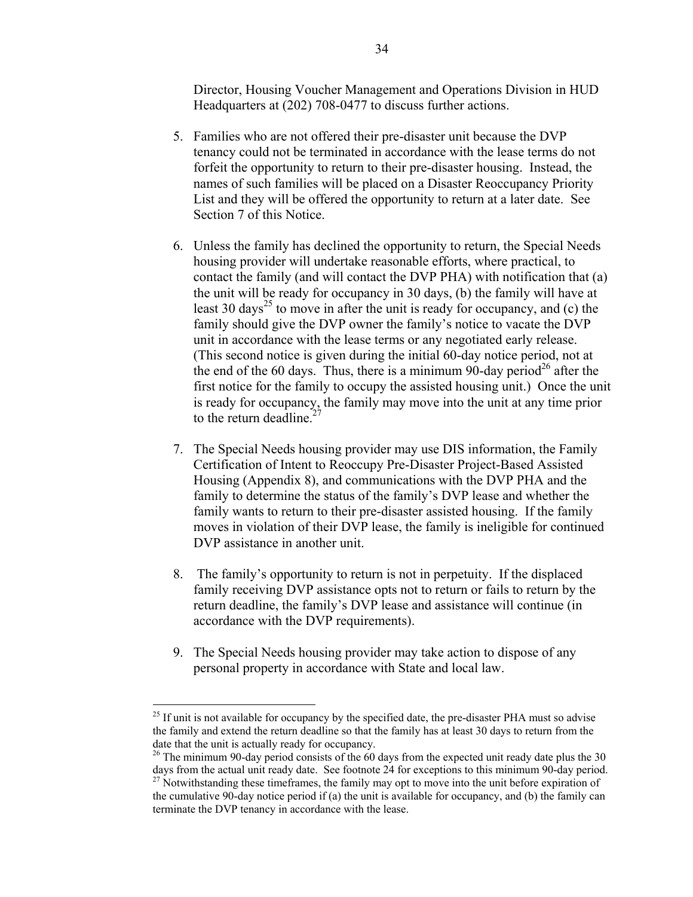Director, Housing Voucher Management and Operations Division in HUD Headquarters at (202) 708-0477 to discuss further actions.

- 5. Families who are not offered their pre-disaster unit because the DVP tenancy could not be terminated in accordance with the lease terms do not forfeit the opportunity to return to their pre-disaster housing. Instead, the names of such families will be placed on a Disaster Reoccupancy Priority List and they will be offered the opportunity to return at a later date. See Section 7 of this Notice.
- 6. Unless the family has declined the opportunity to return, the Special Needs housing provider will undertake reasonable efforts, where practical, to contact the family (and will contact the DVP PHA) with notification that (a) the unit will be ready for occupancy in 30 days, (b) the family will have at least 30 days<sup>25</sup> to move in after the unit is ready for occupancy, and (c) the family should give the DVP owner the family's notice to vacate the DVP unit in accordance with the lease terms or any negotiated early release. (This second notice is given during the initial 60-day notice period, not at the end of the 60 days. Thus, there is a minimum 90-day period<sup>26</sup> after the first notice for the family to occupy the assisted housing unit.) Once the unit is ready for occupancy, the family may move into the unit at any time prior to the return deadline. $\frac{2}{3}$
- 7. The Special Needs housing provider may use DIS information, the Family Certification of Intent to Reoccupy Pre-Disaster Project-Based Assisted Housing (Appendix 8), and communications with the DVP PHA and the family to determine the status of the family's DVP lease and whether the family wants to return to their pre-disaster assisted housing. If the family moves in violation of their DVP lease, the family is ineligible for continued DVP assistance in another unit.
- 8. The family's opportunity to return is not in perpetuity. If the displaced family receiving DVP assistance opts not to return or fails to return by the return deadline, the family's DVP lease and assistance will continue (in accordance with the DVP requirements).
- 9. The Special Needs housing provider may take action to dispose of any personal property in accordance with State and local law.

<span id="page-33-0"></span><sup>&</sup>lt;sup>25</sup> If unit is not available for occupancy by the specified date, the pre-disaster PHA must so advise the family and extend the return deadline so that the family has at least 30 days to return from the date that the unit is actually ready for occupancy.

<span id="page-33-1"></span><sup>&</sup>lt;sup>26</sup> The minimum 90-day period consists of the 60 days from the expected unit ready date plus the 30 days from the actual unit ready date. See footnote 24 for exceptions to this minimum 90-day period.

<span id="page-33-2"></span> $27$  Notwithstanding these timeframes, the family may opt to move into the unit before expiration of the cumulative 90-day notice period if (a) the unit is available for occupancy, and (b) the family can terminate the DVP tenancy in accordance with the lease.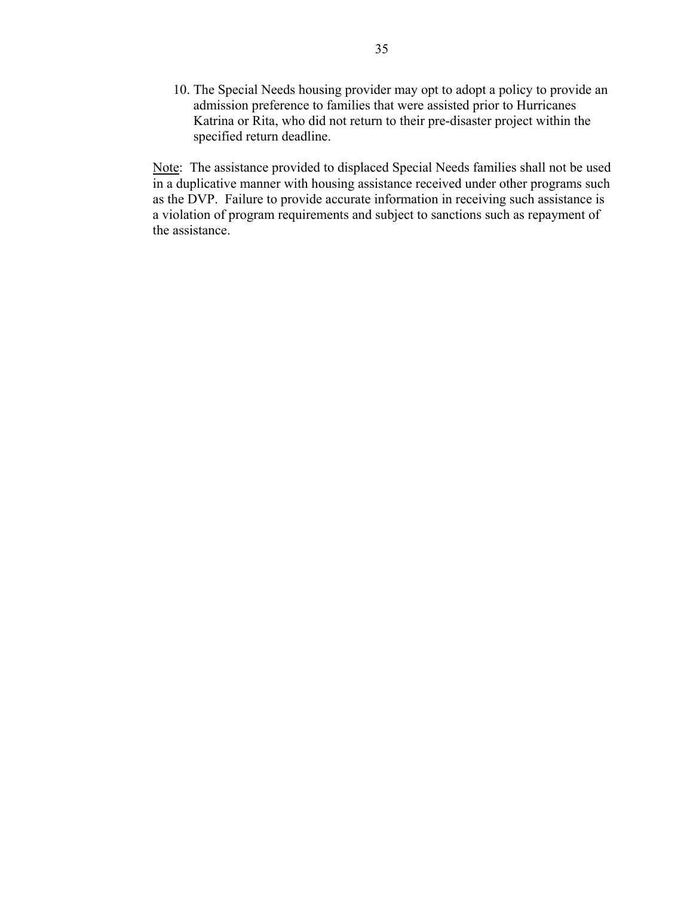10. The Special Needs housing provider may opt to adopt a policy to provide an admission preference to families that were assisted prior to Hurricanes Katrina or Rita, who did not return to their pre-disaster project within the specified return deadline.

Note: The assistance provided to displaced Special Needs families shall not be used in a duplicative manner with housing assistance received under other programs such as the DVP. Failure to provide accurate information in receiving such assistance is a violation of program requirements and subject to sanctions such as repayment of the assistance.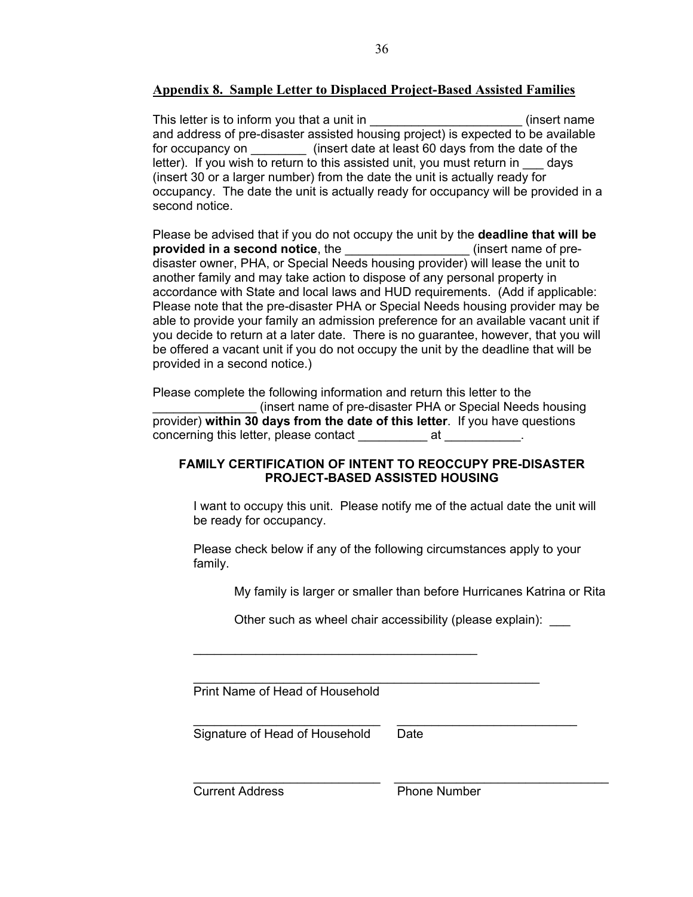# **Appendix 8. Sample Letter to Displaced Project-Based Assisted Families**

This letter is to inform you that a unit in the same of the set of the set of the set of the set of the set of the set of the set of the set of the set of the set of the set of the set of the set of the set of the set of t and address of pre-disaster assisted housing project) is expected to be available for occupancy on \_\_\_\_\_\_\_\_ (insert date at least 60 days from the date of the letter). If you wish to return to this assisted unit, you must return in \_\_\_ days (insert 30 or a larger number) from the date the unit is actually ready for occupancy. The date the unit is actually ready for occupancy will be provided in a second notice.

Please be advised that if you do not occupy the unit by the **deadline that will be provided in a second notice**, the **the conduct of the conduct** (insert name of predisaster owner, PHA, or Special Needs housing provider) will lease the unit to another family and may take action to dispose of any personal property in accordance with State and local laws and HUD requirements. (Add if applicable: Please note that the pre-disaster PHA or Special Needs housing provider may be able to provide your family an admission preference for an available vacant unit if you decide to return at a later date. There is no guarantee, however, that you will be offered a vacant unit if you do not occupy the unit by the deadline that will be provided in a second notice.)

Please complete the following information and return this letter to the \_\_\_\_\_\_\_\_\_\_\_\_\_\_\_ (insert name of pre-disaster PHA or Special Needs housing provider) **within 30 days from the date of this letter**. If you have questions concerning this letter, please contact at the at the set of  $\alpha$ .

### **FAMILY CERTIFICATION OF INTENT TO REOCCUPY PRE-DISASTER PROJECT-BASED ASSISTED HOUSING**

 I want to occupy this unit. Please notify me of the actual date the unit will be ready for occupancy.

Please check below if any of the following circumstances apply to your family.

My family is larger or smaller than before Hurricanes Katrina or Rita

Other such as wheel chair accessibility (please explain):

Print Name of Head of Household

\_\_\_\_\_\_\_\_\_\_\_\_\_\_\_\_\_\_\_\_\_\_\_\_\_\_\_\_\_\_\_\_\_\_\_\_\_\_\_\_\_

\_\_\_\_\_\_\_\_\_\_\_\_\_\_\_\_\_\_\_\_\_\_\_\_\_\_\_\_\_\_\_\_\_\_\_\_\_\_\_\_\_\_\_\_\_\_\_\_\_\_

Signature of Head of Household Date

 $\mathcal{L}_\text{max} = \frac{1}{2} \sum_{i=1}^{n} \frac{1}{2} \sum_{i=1}^{n} \frac{1}{2} \sum_{i=1}^{n} \frac{1}{2} \sum_{i=1}^{n} \frac{1}{2} \sum_{i=1}^{n} \frac{1}{2} \sum_{i=1}^{n} \frac{1}{2} \sum_{i=1}^{n} \frac{1}{2} \sum_{i=1}^{n} \frac{1}{2} \sum_{i=1}^{n} \frac{1}{2} \sum_{i=1}^{n} \frac{1}{2} \sum_{i=1}^{n} \frac{1}{2} \sum_{i=1}^{n} \frac{1$ 

\_\_\_\_\_\_\_\_\_\_\_\_\_\_\_\_\_\_\_\_\_\_\_\_\_\_\_ \_\_\_\_\_\_\_\_\_\_\_\_\_\_\_\_\_\_\_\_\_\_\_\_\_\_\_\_\_\_\_

**Current Address Current Address Phone Number**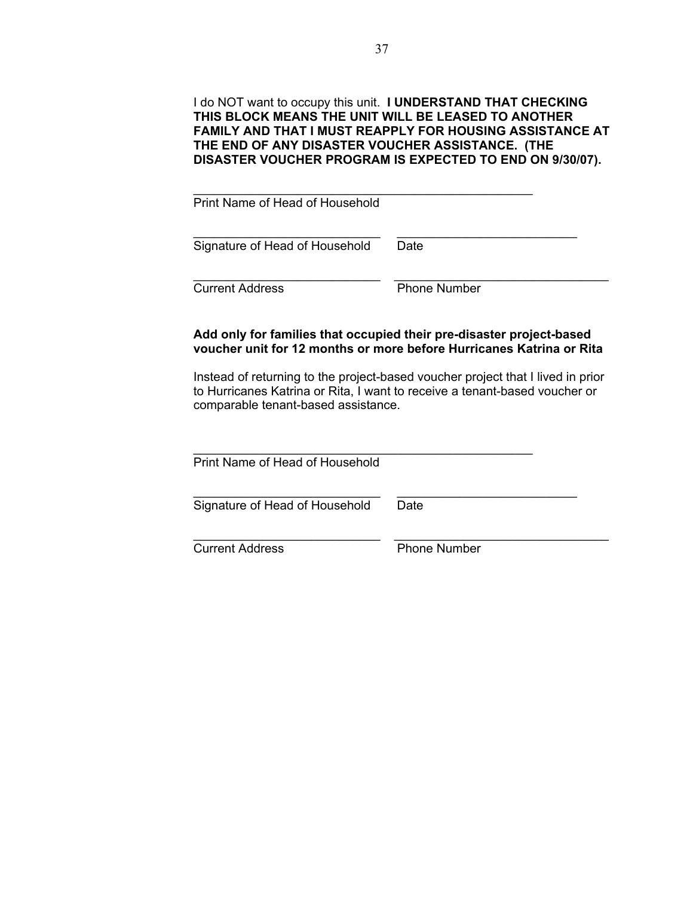### I do NOT want to occupy this unit. **I UNDERSTAND THAT CHECKING THIS BLOCK MEANS THE UNIT WILL BE LEASED TO ANOTHER FAMILY AND THAT I MUST REAPPLY FOR HOUSING ASSISTANCE AT THE END OF ANY DISASTER VOUCHER ASSISTANCE. (THE DISASTER VOUCHER PROGRAM IS EXPECTED TO END ON 9/30/07).**

| Print Name of Head of Household |                     |
|---------------------------------|---------------------|
| Signature of Head of Household  | Date                |
| <b>Current Address</b>          | <b>Phone Number</b> |

### **Add only for families that occupied their pre-disaster project-based voucher unit for 12 months or more before Hurricanes Katrina or Rita**

 Instead of returning to the project-based voucher project that I lived in prior to Hurricanes Katrina or Rita, I want to receive a tenant-based voucher or comparable tenant-based assistance.

| Print Name of Head of Household |                     |
|---------------------------------|---------------------|
| Signature of Head of Household  | Date                |
| <b>Current Address</b>          | <b>Phone Number</b> |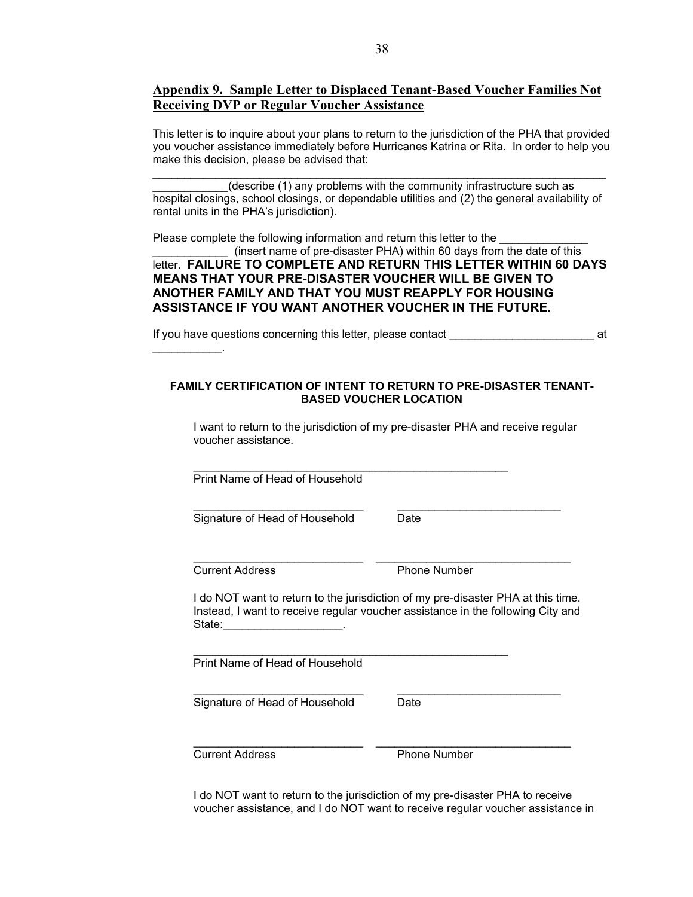### **Appendix 9. Sample Letter to Displaced Tenant-Based Voucher Families Not Receiving DVP or Regular Voucher Assistance**

This letter is to inquire about your plans to return to the jurisdiction of the PHA that provided you voucher assistance immediately before Hurricanes Katrina or Rita. In order to help you make this decision, please be advised that:

(describe (1) any problems with the community infrastructure such as hospital closings, school closings, or dependable utilities and (2) the general availability of rental units in the PHA's jurisdiction).

 $\mathcal{L}_\mathcal{L} = \{ \mathcal{L}_\mathcal{L} = \{ \mathcal{L}_\mathcal{L} = \{ \mathcal{L}_\mathcal{L} = \{ \mathcal{L}_\mathcal{L} = \{ \mathcal{L}_\mathcal{L} = \{ \mathcal{L}_\mathcal{L} = \{ \mathcal{L}_\mathcal{L} = \{ \mathcal{L}_\mathcal{L} = \{ \mathcal{L}_\mathcal{L} = \{ \mathcal{L}_\mathcal{L} = \{ \mathcal{L}_\mathcal{L} = \{ \mathcal{L}_\mathcal{L} = \{ \mathcal{L}_\mathcal{L} = \{ \mathcal{L}_\mathcal{$ 

Please complete the following information and return this letter to the (insert name of pre-disaster PHA) within 60 days from the date of this letter. **FAILURE TO COMPLETE AND RETURN THIS LETTER WITHIN 60 DAYS MEANS THAT YOUR PRE-DISASTER VOUCHER WILL BE GIVEN TO ANOTHER FAMILY AND THAT YOU MUST REAPPLY FOR HOUSING ASSISTANCE IF YOU WANT ANOTHER VOUCHER IN THE FUTURE.**

If you have questions concerning this letter, please contact \_\_\_\_\_\_\_\_\_\_\_\_\_\_\_\_\_\_\_\_\_\_\_ at

#### **FAMILY CERTIFICATION OF INTENT TO RETURN TO PRE-DISASTER TENANT-BASED VOUCHER LOCATION**

 I want to return to the jurisdiction of my pre-disaster PHA and receive regular voucher assistance.

 $\mathcal{L}_\text{max}$  , and the contract of the contract of the contract of the contract of the contract of the contract of the contract of the contract of the contract of the contract of the contract of the contract of the contr

 $\mathcal{L}_\text{max}$  , and the set of the set of the set of the set of the set of the set of the set of the set of the set of the set of the set of the set of the set of the set of the set of the set of the set of the set of the

\_\_\_\_\_\_\_\_\_\_\_\_\_\_\_\_\_\_\_\_\_\_\_\_\_\_\_\_\_\_\_\_\_\_\_\_\_\_\_\_\_\_\_\_\_\_\_\_\_\_

Print Name of Head of Household

Signature of Head of Household Date

\_\_\_\_\_\_\_\_\_\_\_\_\_\_\_\_\_\_\_\_\_\_\_\_\_\_\_ \_\_\_\_\_\_\_\_\_\_\_\_\_\_\_\_\_\_\_\_\_\_\_\_\_\_\_\_\_\_\_ **Current Address Phone Number** 

 $\mathcal{L}_\text{max}$  and  $\mathcal{L}_\text{max}$ 

 I do NOT want to return to the jurisdiction of my pre-disaster PHA at this time. Instead, I want to receive regular voucher assistance in the following City and State:

Print Name of Head of Household

 $\frac{1}{2}$  ,  $\frac{1}{2}$  ,  $\frac{1}{2}$  ,  $\frac{1}{2}$  ,  $\frac{1}{2}$  ,  $\frac{1}{2}$  ,  $\frac{1}{2}$  ,  $\frac{1}{2}$  ,  $\frac{1}{2}$  ,  $\frac{1}{2}$  ,  $\frac{1}{2}$  ,  $\frac{1}{2}$  ,  $\frac{1}{2}$  ,  $\frac{1}{2}$  ,  $\frac{1}{2}$  ,  $\frac{1}{2}$  ,  $\frac{1}{2}$  ,  $\frac{1}{2}$  ,  $\frac{1$ Signature of Head of Household Date

 $\_$  , and the set of the set of the set of the set of the set of the set of the set of the set of the set of the set of the set of the set of the set of the set of the set of the set of the set of the set of the set of th

**Current Address Phone Number** 

 I do NOT want to return to the jurisdiction of my pre-disaster PHA to receive voucher assistance, and I do NOT want to receive regular voucher assistance in